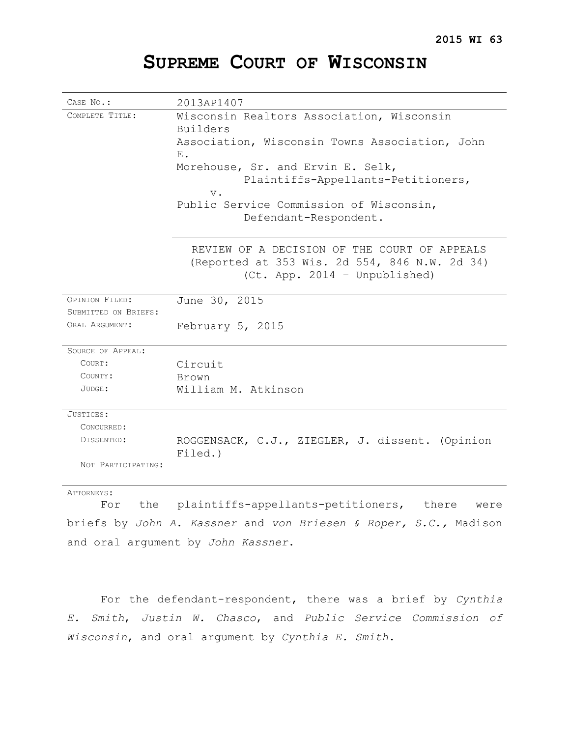# **SUPREME COURT OF WISCONSIN**

| CASE No.:            | 2013AP1407                                                 |
|----------------------|------------------------------------------------------------|
| COMPLETE TITLE:      | Wisconsin Realtors Association, Wisconsin<br>Builders      |
|                      | Association, Wisconsin Towns Association, John<br>Ε.       |
|                      | Morehouse, Sr. and Ervin E. Selk,                          |
|                      | Plaintiffs-Appellants-Petitioners,                         |
|                      | $V$ .                                                      |
|                      | Public Service Commission of Wisconsin,                    |
|                      | Defendant-Respondent.                                      |
|                      | REVIEW OF A DECISION OF THE COURT OF APPEALS               |
|                      | (Reported at 353 Wis. 2d 554, 846 N.W. 2d 34)              |
|                      | (Ct. App. 2014 - Unpublished)                              |
| OPINION FILED:       | June 30, 2015                                              |
| SUBMITTED ON BRIEFS: |                                                            |
| ORAL ARGUMENT:       | February 5, 2015                                           |
| SOURCE OF APPEAL:    |                                                            |
| COURT:               | Circuit                                                    |
| COUNTY:              | Brown                                                      |
| $JUDGE$ :            | William M. Atkinson                                        |
| JUSTICES:            |                                                            |
| CONCURRED:           |                                                            |
| DISSENTED:           | ROGGENSACK, C.J., ZIEGLER, J. dissent. (Opinion<br>Filed.) |
| NOT PARTICIPATING:   |                                                            |
| ATTORNEYS:           |                                                            |
| the<br>For           | plaintiffs-appellants-petitioners,<br>there<br>were        |

briefs by *John A. Kassner* and *von Briesen & Roper, S.C.,* Madison and oral argument by *John Kassner*.

For the defendant-respondent, there was a brief by *Cynthia E. Smith*, *Justin W. Chasco*, and *Public Service Commission of Wisconsin*, and oral argument by *Cynthia E. Smith*.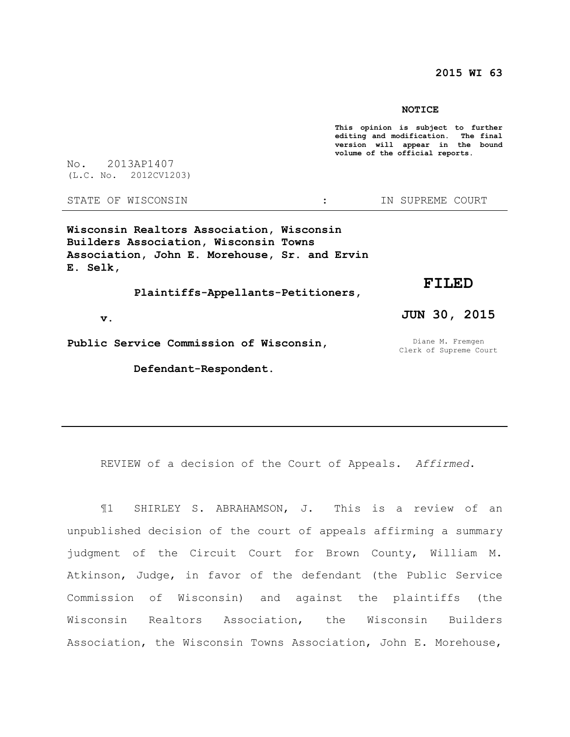**2015 WI 63** 

#### **NOTICE**

**This opinion is subject to further**  editing and modification. **version will appear in the bound volume of the official reports.** 

No. 2013AP1407 (L.C. No. 2012CV1203)

STATE OF WISCONSIN THE STATE OF STATE OF WISCONSIN

**Wisconsin Realtors Association, Wisconsin Builders Association, Wisconsin Towns Association, John E. Morehouse, Sr. and Ervin E. Selk,** 

 **Plaintiffs-Appellants-Petitioners,** 

 **v.** 

**Public Service Commission of Wisconsin,** 

 **Defendant-Respondent.** 

Diane M. Fremgen

**JUN 30, 2015** 

**FILED** 

Clerk of Supreme Court

REVIEW of a decision of the Court of Appeals. *Affirmed*.

¶1 SHIRLEY S. ABRAHAMSON, J. This is a review of an unpublished decision of the court of appeals affirming a summary judgment of the Circuit Court for Brown County, William M. Atkinson, Judge, in favor of the defendant (the Public Service Commission of Wisconsin) and against the plaintiffs (the Wisconsin Realtors Association, the Wisconsin Builders Association, the Wisconsin Towns Association, John E. Morehouse,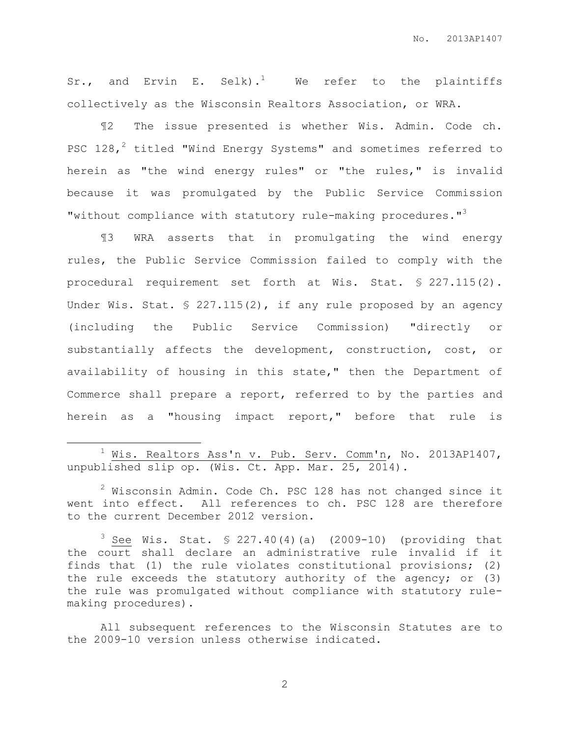Sr., and Ervin E. Selk).<sup>1</sup> We refer to the plaintiffs collectively as the Wisconsin Realtors Association, or WRA.

¶2 The issue presented is whether Wis. Admin. Code ch. PSC  $128<sub>1</sub><sup>2</sup>$  titled "Wind Energy Systems" and sometimes referred to herein as "the wind energy rules" or "the rules," is invalid because it was promulgated by the Public Service Commission "without compliance with statutory rule-making procedures."<sup>3</sup>

¶3 WRA asserts that in promulgating the wind energy rules, the Public Service Commission failed to comply with the procedural requirement set forth at Wis. Stat. § 227.115(2). Under Wis. Stat. § 227.115(2), if any rule proposed by an agency (including the Public Service Commission) "directly or substantially affects the development, construction, cost, or availability of housing in this state," then the Department of Commerce shall prepare a report, referred to by the parties and herein as a "housing impact report," before that rule is

 $1$  Wis. Realtors Ass'n v. Pub. Serv. Comm'n, No. 2013AP1407, unpublished slip op. (Wis. Ct. App. Mar. 25, 2014).

 $\overline{a}$ 

 $2$  Wisconsin Admin. Code Ch. PSC 128 has not changed since it went into effect. All references to ch. PSC 128 are therefore to the current December 2012 version.

 $3$  See Wis. Stat.  $5$  227.40(4)(a) (2009-10) (providing that the court shall declare an administrative rule invalid if it finds that (1) the rule violates constitutional provisions; (2) the rule exceeds the statutory authority of the agency; or (3) the rule was promulgated without compliance with statutory rulemaking procedures).

All subsequent references to the Wisconsin Statutes are to the 2009-10 version unless otherwise indicated.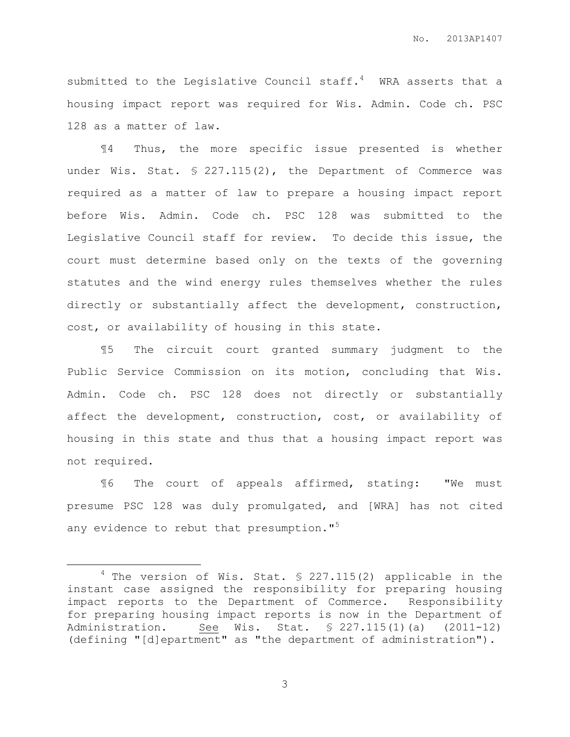submitted to the Legislative Council staff. $4$  WRA asserts that a housing impact report was required for Wis. Admin. Code ch. PSC 128 as a matter of law.

¶4 Thus, the more specific issue presented is whether under Wis. Stat. § 227.115(2), the Department of Commerce was required as a matter of law to prepare a housing impact report before Wis. Admin. Code ch. PSC 128 was submitted to the Legislative Council staff for review. To decide this issue, the court must determine based only on the texts of the governing statutes and the wind energy rules themselves whether the rules directly or substantially affect the development, construction, cost, or availability of housing in this state.

¶5 The circuit court granted summary judgment to the Public Service Commission on its motion, concluding that Wis. Admin. Code ch. PSC 128 does not directly or substantially affect the development, construction, cost, or availability of housing in this state and thus that a housing impact report was not required.

¶6 The court of appeals affirmed, stating: "We must presume PSC 128 was duly promulgated, and [WRA] has not cited any evidence to rebut that presumption."<sup>5</sup>

 $\overline{a}$ 

 $4$  The version of Wis. Stat. § 227.115(2) applicable in the instant case assigned the responsibility for preparing housing impact reports to the Department of Commerce. Responsibility for preparing housing impact reports is now in the Department of Administration. See Wis. Stat. § 227.115(1)(a) (2011-12) (defining "[d]epartment" as "the department of administration").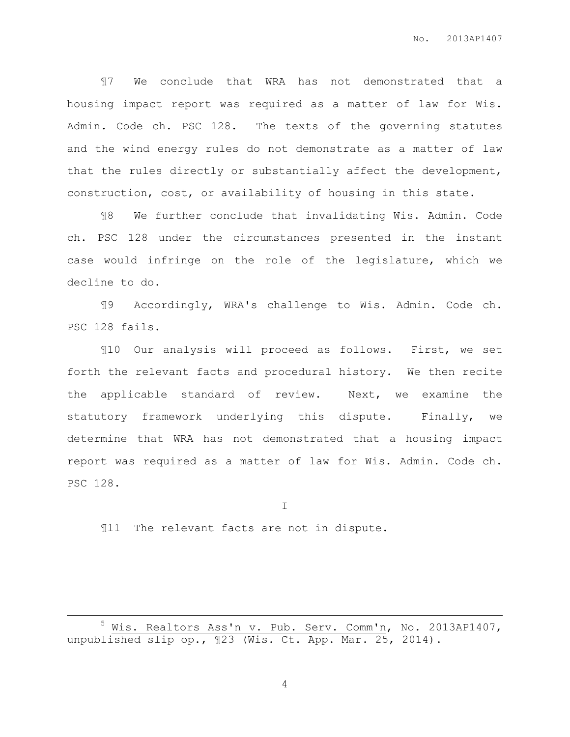¶7 We conclude that WRA has not demonstrated that a housing impact report was required as a matter of law for Wis. Admin. Code ch. PSC 128. The texts of the governing statutes and the wind energy rules do not demonstrate as a matter of law that the rules directly or substantially affect the development, construction, cost, or availability of housing in this state.

¶8 We further conclude that invalidating Wis. Admin. Code ch. PSC 128 under the circumstances presented in the instant case would infringe on the role of the legislature, which we decline to do.

¶9 Accordingly, WRA's challenge to Wis. Admin. Code ch. PSC 128 fails.

¶10 Our analysis will proceed as follows. First, we set forth the relevant facts and procedural history. We then recite the applicable standard of review. Next, we examine the statutory framework underlying this dispute. Finally, we determine that WRA has not demonstrated that a housing impact report was required as a matter of law for Wis. Admin. Code ch. PSC 128.

I

¶11 The relevant facts are not in dispute.

 $\overline{a}$ 

<sup>5</sup> Wis. Realtors Ass'n v. Pub. Serv. Comm'n, No. 2013AP1407, unpublished slip op.,  $\mathbb{I}23$  (Wis. Ct. App. Mar. 25, 2014).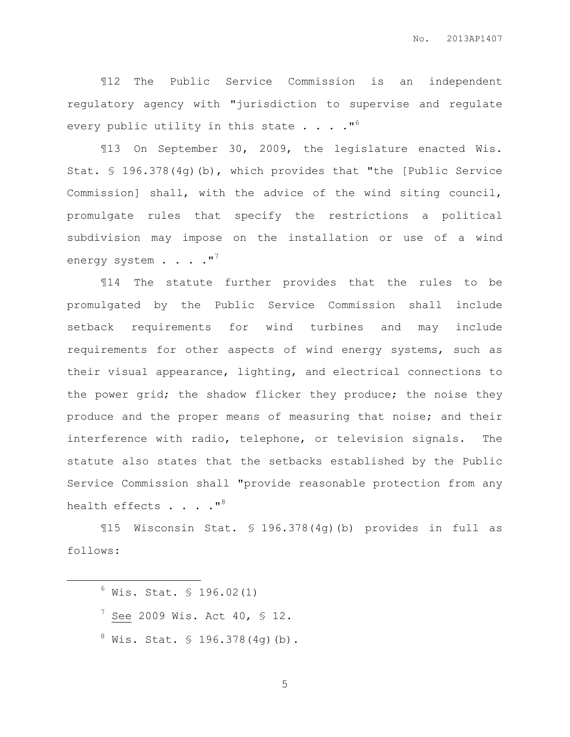¶12 The Public Service Commission is an independent regulatory agency with "jurisdiction to supervise and regulate every public utility in this state  $\ldots$ ."<sup>6</sup>

¶13 On September 30, 2009, the legislature enacted Wis. Stat. § 196.378(4g)(b), which provides that "the [Public Service Commission] shall, with the advice of the wind siting council, promulgate rules that specify the restrictions a political subdivision may impose on the installation or use of a wind energy system . . . . "<sup>7</sup>

¶14 The statute further provides that the rules to be promulgated by the Public Service Commission shall include setback requirements for wind turbines and may include requirements for other aspects of wind energy systems, such as their visual appearance, lighting, and electrical connections to the power grid; the shadow flicker they produce; the noise they produce and the proper means of measuring that noise; and their interference with radio, telephone, or television signals. The statute also states that the setbacks established by the Public Service Commission shall "provide reasonable protection from any health effects  $\cdot \cdot \cdot \cdot$  . "<sup>8</sup>

¶15 Wisconsin Stat. § 196.378(4g)(b) provides in full as follows:

 $6$  Wis. Stat. § 196.02(1)

 $\overline{a}$ 

 $^7$  See 2009 Wis. Act 40, § 12.

 $8 \text{ Wis. Stat. }$  \$ 196.378(4q)(b).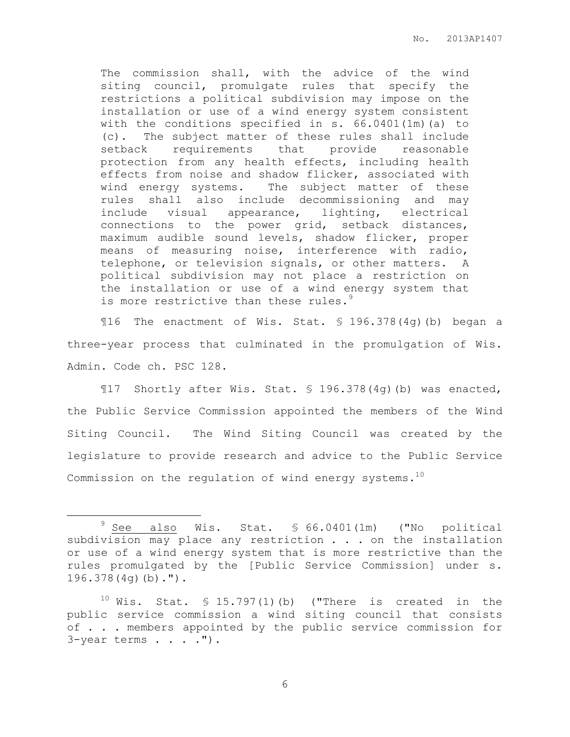The commission shall, with the advice of the wind siting council, promulgate rules that specify the restrictions a political subdivision may impose on the installation or use of a wind energy system consistent with the conditions specified in s. 66.0401(1m)(a) to (c). The subject matter of these rules shall include setback requirements that provide reasonable protection from any health effects, including health effects from noise and shadow flicker, associated with wind energy systems. The subject matter of these rules shall also include decommissioning and may include visual appearance, lighting, electrical connections to the power grid, setback distances, maximum audible sound levels, shadow flicker, proper means of measuring noise, interference with radio, telephone, or television signals, or other matters. A political subdivision may not place a restriction on the installation or use of a wind energy system that is more restrictive than these rules.<sup>9</sup>

¶16 The enactment of Wis. Stat. § 196.378(4g)(b) began a three-year process that culminated in the promulgation of Wis. Admin. Code ch. PSC 128.

¶17 Shortly after Wis. Stat. § 196.378(4g)(b) was enacted, the Public Service Commission appointed the members of the Wind Siting Council. The Wind Siting Council was created by the legislature to provide research and advice to the Public Service Commission on the regulation of wind energy systems.  $^{10}$ 

 $\overline{a}$ 

<sup>9</sup> See also Wis. Stat. § 66.0401(1m) ("No political subdivision  $\overline{\text{may}}$  place any restriction . . . on the installation or use of a wind energy system that is more restrictive than the rules promulgated by the [Public Service Commission] under s. 196.378(4g)(b).").

 $10$  Wis. Stat. § 15.797(1)(b) ("There is created in the public service commission a wind siting council that consists of . . . members appointed by the public service commission for  $3$ -year terms . . . . ").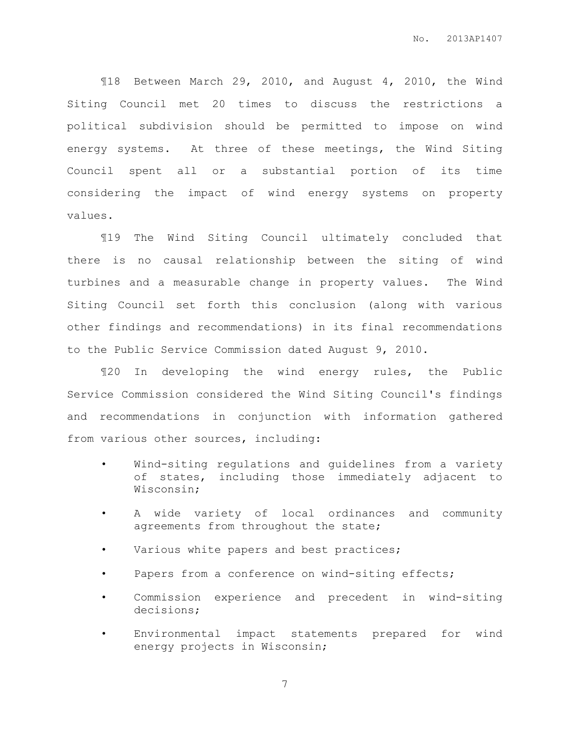¶18 Between March 29, 2010, and August 4, 2010, the Wind Siting Council met 20 times to discuss the restrictions a political subdivision should be permitted to impose on wind energy systems. At three of these meetings, the Wind Siting Council spent all or a substantial portion of its time considering the impact of wind energy systems on property values.

¶19 The Wind Siting Council ultimately concluded that there is no causal relationship between the siting of wind turbines and a measurable change in property values. The Wind Siting Council set forth this conclusion (along with various other findings and recommendations) in its final recommendations to the Public Service Commission dated August 9, 2010.

¶20 In developing the wind energy rules, the Public Service Commission considered the Wind Siting Council's findings and recommendations in conjunction with information gathered from various other sources, including:

- Wind-siting regulations and guidelines from a variety of states, including those immediately adjacent to Wisconsin;
- A wide variety of local ordinances and community agreements from throughout the state;
- Various white papers and best practices;
- Papers from a conference on wind-siting effects;
- Commission experience and precedent in wind-siting decisions;
- Environmental impact statements prepared for wind energy projects in Wisconsin;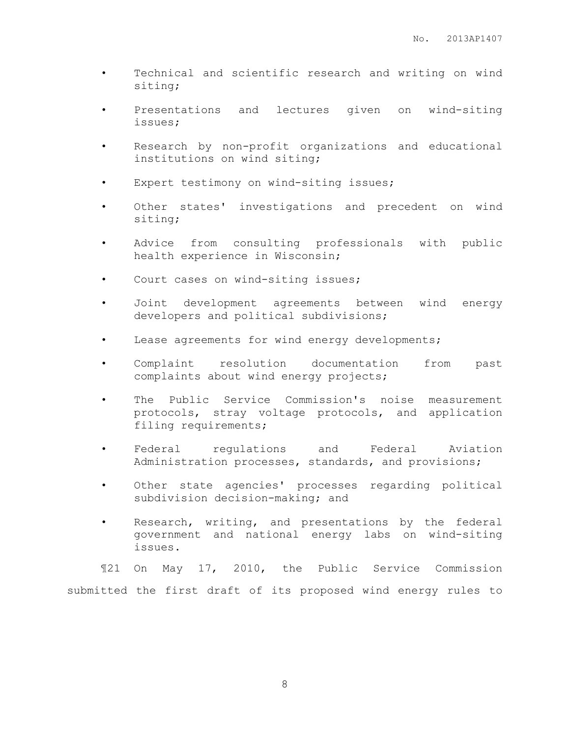- Technical and scientific research and writing on wind siting;
- Presentations and lectures given on wind-siting issues;
- Research by non-profit organizations and educational institutions on wind siting;
- Expert testimony on wind-siting issues;
- Other states' investigations and precedent on wind siting;
- Advice from consulting professionals with public health experience in Wisconsin;
- Court cases on wind-siting issues;
- Joint development agreements between wind energy developers and political subdivisions;
- Lease agreements for wind energy developments;
- Complaint resolution documentation from past complaints about wind energy projects;
- The Public Service Commission's noise measurement protocols, stray voltage protocols, and application filing requirements;
- Federal regulations and Federal Aviation Administration processes, standards, and provisions;
- Other state agencies' processes regarding political subdivision decision-making; and
- Research, writing, and presentations by the federal government and national energy labs on wind-siting issues.

¶21 On May 17, 2010, the Public Service Commission submitted the first draft of its proposed wind energy rules to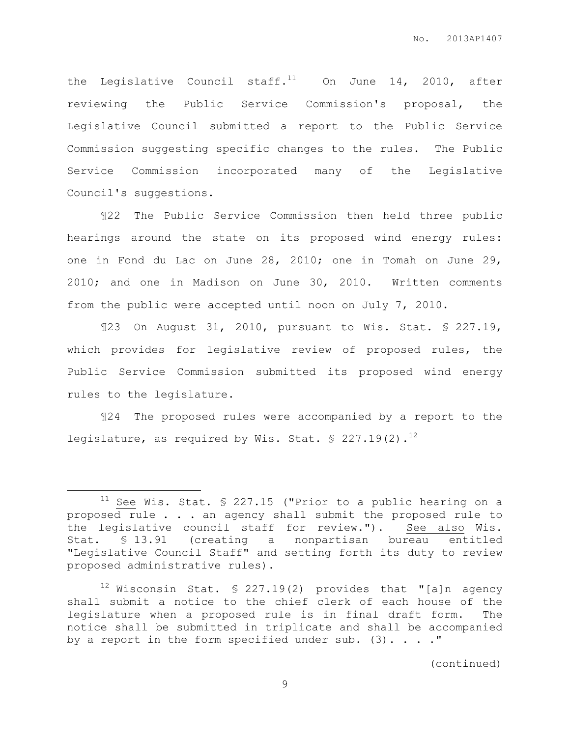the Legislative Council staff.<sup>11</sup> On June 14, 2010, after reviewing the Public Service Commission's proposal, the Legislative Council submitted a report to the Public Service Commission suggesting specific changes to the rules. The Public Service Commission incorporated many of the Legislative Council's suggestions.

¶22 The Public Service Commission then held three public hearings around the state on its proposed wind energy rules: one in Fond du Lac on June 28, 2010; one in Tomah on June 29, 2010; and one in Madison on June 30, 2010. Written comments from the public were accepted until noon on July 7, 2010.

¶23 On August 31, 2010, pursuant to Wis. Stat. § 227.19, which provides for legislative review of proposed rules, the Public Service Commission submitted its proposed wind energy rules to the legislature.

¶24 The proposed rules were accompanied by a report to the legislature, as required by Wis. Stat.  $\frac{5}{227.19(2)}$ .<sup>12</sup>

 $\overline{a}$ 

 $11$  See Wis. Stat. § 227.15 ("Prior to a public hearing on a proposed rule . . . an agency shall submit the proposed rule to the legislative council staff for review."). See also Wis. Stat. § 13.91 (creating a nonpartisan bureau entitled "Legislative Council Staff" and setting forth its duty to review proposed administrative rules).

 $12$  Wisconsin Stat. § 227.19(2) provides that "[a]n agency shall submit a notice to the chief clerk of each house of the legislature when a proposed rule is in final draft form. The notice shall be submitted in triplicate and shall be accompanied by a report in the form specified under sub.  $(3)$ ...."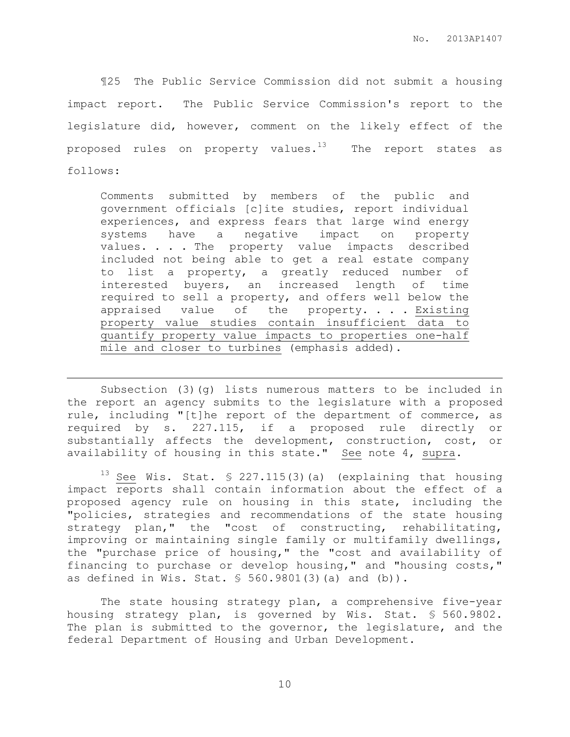¶25 The Public Service Commission did not submit a housing impact report. The Public Service Commission's report to the legislature did, however, comment on the likely effect of the proposed rules on property values. $^{13}$  The report states as follows:

Comments submitted by members of the public and government officials [c]ite studies, report individual experiences, and express fears that large wind energy systems have a negative impact on property values. . . . The property value impacts described included not being able to get a real estate company to list a property, a greatly reduced number of interested buyers, an increased length of time required to sell a property, and offers well below the appraised value of the property. . . Existing property value studies contain insufficient data to quantify property value impacts to properties one-half mile and closer to turbines (emphasis added).

Subsection  $(3)(q)$  lists numerous matters to be included in the report an agency submits to the legislature with a proposed rule, including "[t]he report of the department of commerce, as required by s. 227.115, if a proposed rule directly or substantially affects the development, construction, cost, or availability of housing in this state." See note 4, supra.

 $\overline{a}$ 

 $13$  See Wis. Stat. § 227.115(3)(a) (explaining that housing impact reports shall contain information about the effect of a proposed agency rule on housing in this state, including the "policies, strategies and recommendations of the state housing strategy plan," the "cost of constructing, rehabilitating, improving or maintaining single family or multifamily dwellings, the "purchase price of housing," the "cost and availability of financing to purchase or develop housing," and "housing costs," as defined in Wis. Stat. § 560.9801(3)(a) and (b)).

The state housing strategy plan, a comprehensive five-year housing strategy plan, is governed by Wis. Stat. § 560.9802. The plan is submitted to the governor, the legislature, and the federal Department of Housing and Urban Development.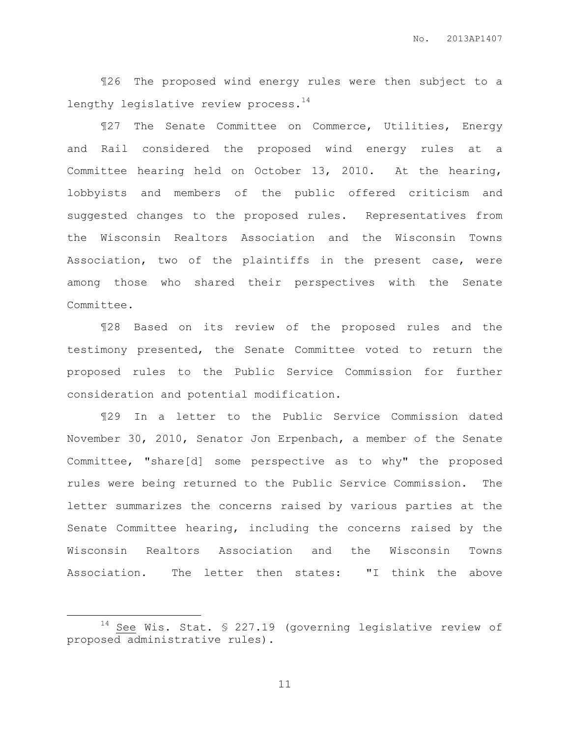¶26 The proposed wind energy rules were then subject to a lengthy legislative review process.<sup>14</sup>

¶27 The Senate Committee on Commerce, Utilities, Energy and Rail considered the proposed wind energy rules at a Committee hearing held on October 13, 2010. At the hearing, lobbyists and members of the public offered criticism and suggested changes to the proposed rules. Representatives from the Wisconsin Realtors Association and the Wisconsin Towns Association, two of the plaintiffs in the present case, were among those who shared their perspectives with the Senate Committee.

¶28 Based on its review of the proposed rules and the testimony presented, the Senate Committee voted to return the proposed rules to the Public Service Commission for further consideration and potential modification.

¶29 In a letter to the Public Service Commission dated November 30, 2010, Senator Jon Erpenbach, a member of the Senate Committee, "share[d] some perspective as to why" the proposed rules were being returned to the Public Service Commission. The letter summarizes the concerns raised by various parties at the Senate Committee hearing, including the concerns raised by the Wisconsin Realtors Association and the Wisconsin Towns Association. The letter then states: "I think the above

 $\overline{a}$ 

<sup>14</sup> See Wis. Stat. § 227.19 (governing legislative review of proposed administrative rules).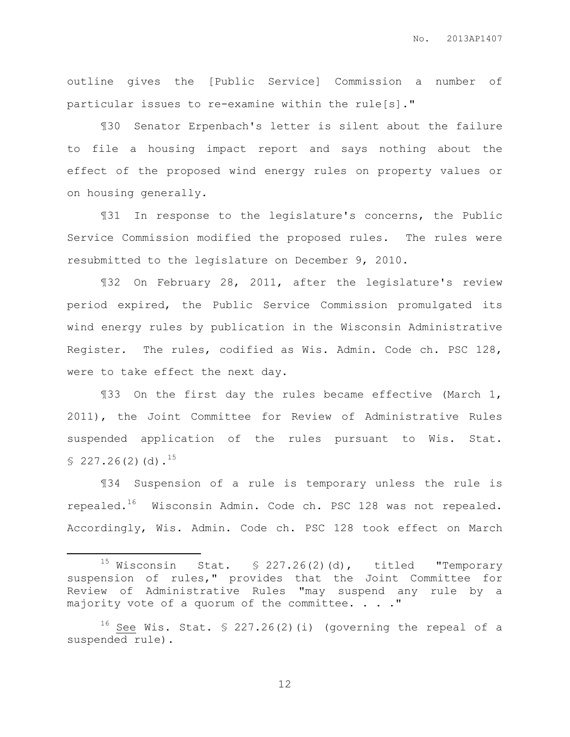outline gives the [Public Service] Commission a number of particular issues to re-examine within the rule[s]."

¶30 Senator Erpenbach's letter is silent about the failure to file a housing impact report and says nothing about the effect of the proposed wind energy rules on property values or on housing generally.

¶31 In response to the legislature's concerns, the Public Service Commission modified the proposed rules. The rules were resubmitted to the legislature on December 9, 2010.

¶32 On February 28, 2011, after the legislature's review period expired, the Public Service Commission promulgated its wind energy rules by publication in the Wisconsin Administrative Register. The rules, codified as Wis. Admin. Code ch. PSC 128, were to take effect the next day.

¶33 On the first day the rules became effective (March 1, 2011), the Joint Committee for Review of Administrative Rules suspended application of the rules pursuant to Wis. Stat.  $$227.26(2)(d).$ <sup>15</sup>

¶34 Suspension of a rule is temporary unless the rule is repealed.<sup>16</sup> Wisconsin Admin. Code ch. PSC 128 was not repealed. Accordingly, Wis. Admin. Code ch. PSC 128 took effect on March

 $\overline{a}$ 

<sup>&</sup>lt;sup>15</sup> Wisconsin Stat. § 227.26(2)(d), titled "Temporary suspension of rules," provides that the Joint Committee for Review of Administrative Rules "may suspend any rule by a majority vote of a quorum of the committee. . . . "

 $16$  See Wis. Stat. § 227.26(2)(i) (governing the repeal of a suspended rule).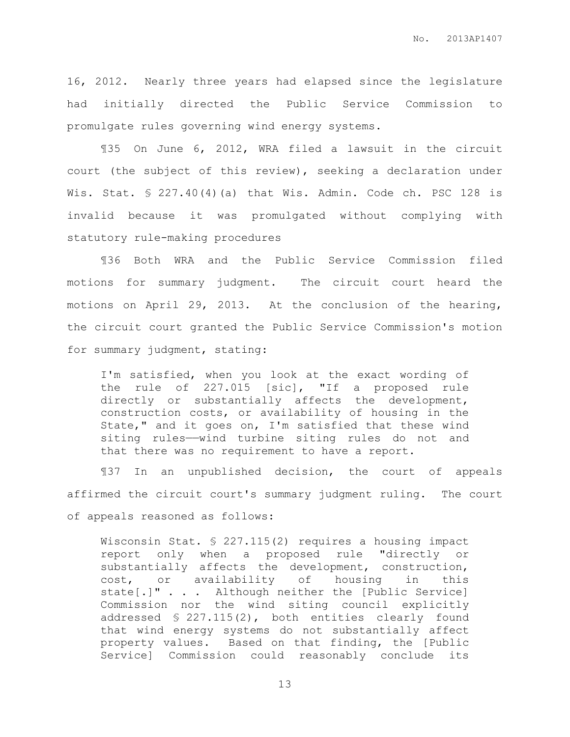16, 2012. Nearly three years had elapsed since the legislature had initially directed the Public Service Commission to promulgate rules governing wind energy systems.

¶35 On June 6, 2012, WRA filed a lawsuit in the circuit court (the subject of this review), seeking a declaration under Wis. Stat. § 227.40(4)(a) that Wis. Admin. Code ch. PSC 128 is invalid because it was promulgated without complying with statutory rule-making procedures

¶36 Both WRA and the Public Service Commission filed motions for summary judgment. The circuit court heard the motions on April 29, 2013. At the conclusion of the hearing, the circuit court granted the Public Service Commission's motion for summary judgment, stating:

I'm satisfied, when you look at the exact wording of the rule of 227.015 [sic], "If a proposed rule directly or substantially affects the development, construction costs, or availability of housing in the State," and it goes on, I'm satisfied that these wind siting rules—wind turbine siting rules do not and that there was no requirement to have a report.

¶37 In an unpublished decision, the court of appeals affirmed the circuit court's summary judgment ruling. The court of appeals reasoned as follows:

Wisconsin Stat. § 227.115(2) requires a housing impact report only when a proposed rule "directly or substantially affects the development, construction, cost, or availability of housing in this state[.]" . . . Although neither the [Public Service] Commission nor the wind siting council explicitly addressed § 227.115(2), both entities clearly found that wind energy systems do not substantially affect property values. Based on that finding, the [Public Service] Commission could reasonably conclude its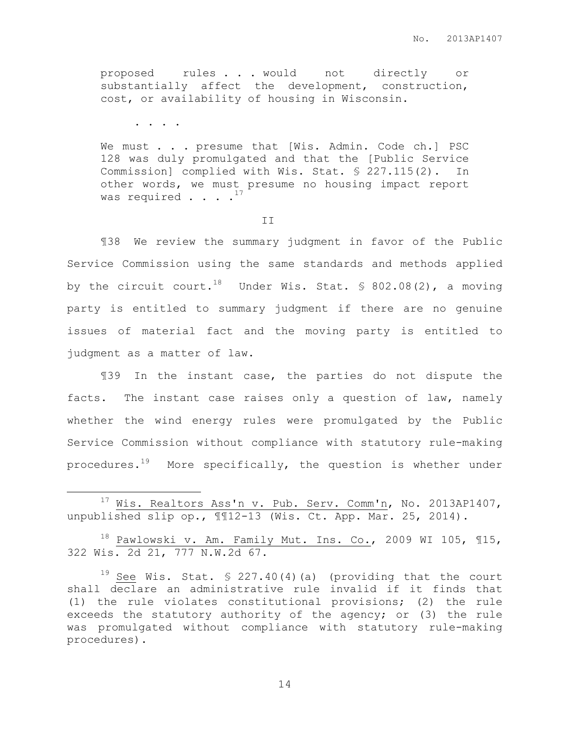proposed rules . . . would not directly or substantially affect the development, construction, cost, or availability of housing in Wisconsin.

. . . .

 $\overline{a}$ 

We must . . . presume that [Wis. Admin. Code ch.] PSC 128 was duly promulgated and that the [Public Service Commission] complied with Wis. Stat. § 227.115(2). In other words, we must presume no housing impact report was required . . .  $^{17}$ 

II

¶38 We review the summary judgment in favor of the Public Service Commission using the same standards and methods applied by the circuit court.<sup>18</sup> Under Wis. Stat. § 802.08(2), a moving party is entitled to summary judgment if there are no genuine issues of material fact and the moving party is entitled to judgment as a matter of law.

¶39 In the instant case, the parties do not dispute the facts. The instant case raises only a question of law, namely whether the wind energy rules were promulgated by the Public Service Commission without compliance with statutory rule-making procedures. $19$  More specifically, the question is whether under

 $18$  Pawlowski v. Am. Family Mut. Ins. Co., 2009 WI 105, 115, 322 Wis. 2d 21, 777 N.W.2d 67.

<sup>&</sup>lt;sup>17</sup> Wis. Realtors Ass'n v. Pub. Serv. Comm'n, No. 2013AP1407, unpublished slip op., ¶¶12-13 (Wis. Ct. App. Mar. 25, 2014).

<sup>&</sup>lt;sup>19</sup> See Wis. Stat.  $\frac{19}{227.40(4)(a)}$  (providing that the court shall declare an administrative rule invalid if it finds that (1) the rule violates constitutional provisions; (2) the rule exceeds the statutory authority of the agency; or (3) the rule was promulgated without compliance with statutory rule-making procedures).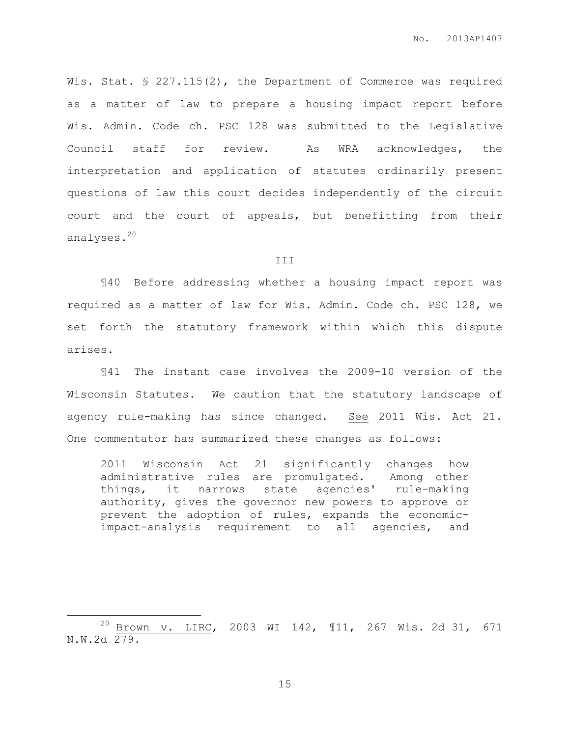Wis. Stat. § 227.115(2), the Department of Commerce was required as a matter of law to prepare a housing impact report before Wis. Admin. Code ch. PSC 128 was submitted to the Legislative Council staff for review. As WRA acknowledges, the interpretation and application of statutes ordinarily present questions of law this court decides independently of the circuit court and the court of appeals, but benefitting from their analyses.<sup>20</sup>

#### III

¶40 Before addressing whether a housing impact report was required as a matter of law for Wis. Admin. Code ch. PSC 128, we set forth the statutory framework within which this dispute arises.

¶41 The instant case involves the 2009-10 version of the Wisconsin Statutes. We caution that the statutory landscape of agency rule-making has since changed. See 2011 Wis. Act 21. One commentator has summarized these changes as follows:

2011 Wisconsin Act 21 significantly changes how administrative rules are promulgated. Among other things, it narrows state agencies' rule-making authority, gives the governor new powers to approve or prevent the adoption of rules, expands the economicimpact-analysis requirement to all agencies, and

 $\overline{a}$ 

<sup>20</sup> Brown v. LIRC, 2003 WI 142, ¶11, 267 Wis. 2d 31, 671 N.W.2d 279.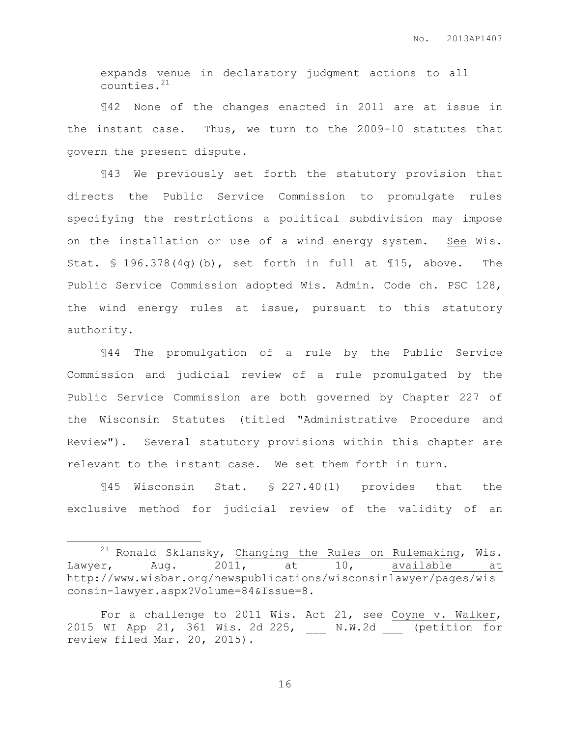expands venue in declaratory judgment actions to all counties. $^{21}$ 

¶42 None of the changes enacted in 2011 are at issue in the instant case. Thus, we turn to the 2009-10 statutes that govern the present dispute.

¶43 We previously set forth the statutory provision that directs the Public Service Commission to promulgate rules specifying the restrictions a political subdivision may impose on the installation or use of a wind energy system. See Wis. Stat. § 196.378(4g)(b), set forth in full at ¶15, above. The Public Service Commission adopted Wis. Admin. Code ch. PSC 128, the wind energy rules at issue, pursuant to this statutory authority.

¶44 The promulgation of a rule by the Public Service Commission and judicial review of a rule promulgated by the Public Service Commission are both governed by Chapter 227 of the Wisconsin Statutes (titled "Administrative Procedure and Review"). Several statutory provisions within this chapter are relevant to the instant case. We set them forth in turn.

¶45 Wisconsin Stat. § 227.40(1) provides that the exclusive method for judicial review of the validity of an

 $\overline{a}$ 

 $21$  Ronald Sklansky, Changing the Rules on Rulemaking, Wis. Lawyer, Aug. 2011, at 10, available at http://www.wisbar.org/newspublications/wisconsinlawyer/pages/wis consin-lawyer.aspx?Volume=84&Issue=8.

For a challenge to 2011 Wis. Act 21, see Coyne v. Walker, 2015 WI App 21, 361 Wis. 2d 225, \_\_\_ N.W.2d \_\_\_ (petition for review filed Mar. 20, 2015).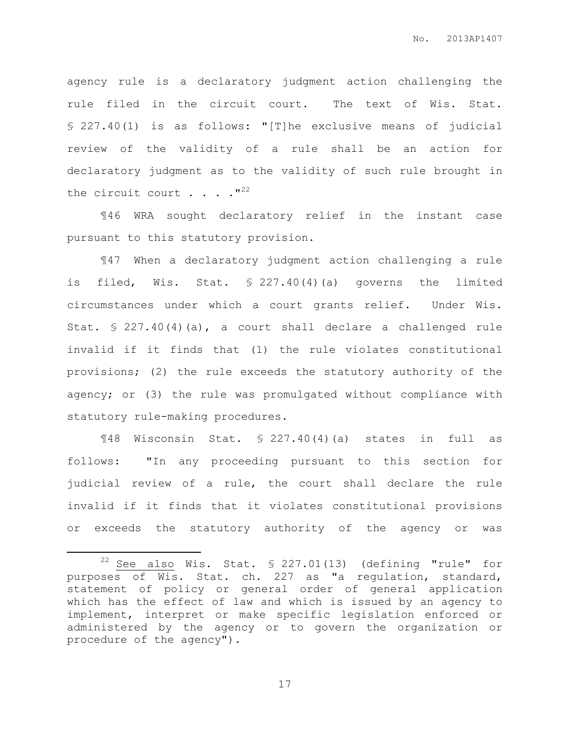agency rule is a declaratory judgment action challenging the rule filed in the circuit court. The text of Wis. Stat. § 227.40(1) is as follows: "[T]he exclusive means of judicial review of the validity of a rule shall be an action for declaratory judgment as to the validity of such rule brought in the circuit court . . . ."<sup>22</sup>

¶46 WRA sought declaratory relief in the instant case pursuant to this statutory provision.

¶47 When a declaratory judgment action challenging a rule is filed, Wis. Stat. § 227.40(4)(a) governs the limited circumstances under which a court grants relief. Under Wis. Stat. § 227.40(4)(a), a court shall declare a challenged rule invalid if it finds that (1) the rule violates constitutional provisions; (2) the rule exceeds the statutory authority of the agency; or (3) the rule was promulgated without compliance with statutory rule-making procedures.

¶48 Wisconsin Stat. § 227.40(4)(a) states in full as follows: "In any proceeding pursuant to this section for judicial review of a rule, the court shall declare the rule invalid if it finds that it violates constitutional provisions or exceeds the statutory authority of the agency or was

 $\overline{a}$ 

 $22$  See also Wis. Stat. § 227.01(13) (defining "rule" for purposes of Wis. Stat. ch. 227 as "a regulation, standard, statement of policy or general order of general application which has the effect of law and which is issued by an agency to implement, interpret or make specific legislation enforced or administered by the agency or to govern the organization or procedure of the agency").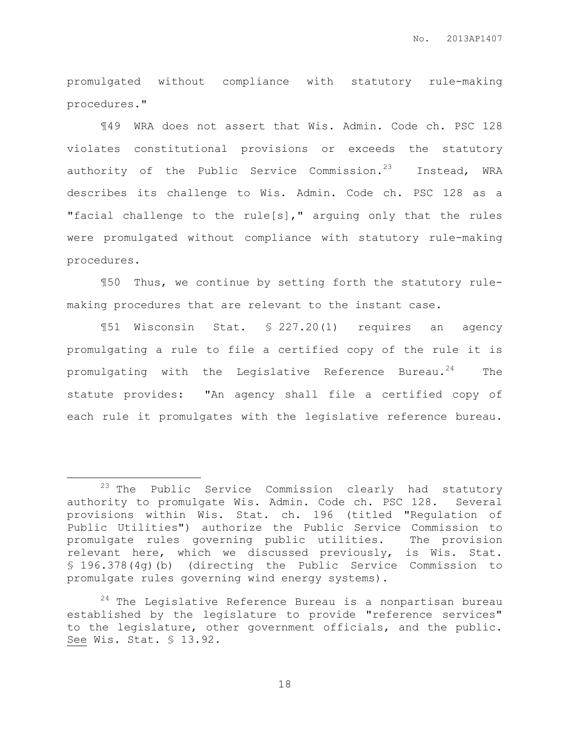promulgated without compliance with statutory rule-making procedures."

¶49 WRA does not assert that Wis. Admin. Code ch. PSC 128 violates constitutional provisions or exceeds the statutory authority of the Public Service Commission.<sup>23</sup> Instead, WRA describes its challenge to Wis. Admin. Code ch. PSC 128 as a "facial challenge to the rule[s]," arguing only that the rules were promulgated without compliance with statutory rule-making procedures.

¶50 Thus, we continue by setting forth the statutory rulemaking procedures that are relevant to the instant case.

¶51 Wisconsin Stat. § 227.20(1) requires an agency promulgating a rule to file a certified copy of the rule it is promulgating with the Legislative Reference Bureau.<sup>24</sup> The statute provides: "An agency shall file a certified copy of each rule it promulgates with the legislative reference bureau.

 $\overline{a}$ 

<sup>23</sup> The Public Service Commission clearly had statutory authority to promulgate Wis. Admin. Code ch. PSC 128. Several provisions within Wis. Stat. ch. 196 (titled "Regulation of Public Utilities") authorize the Public Service Commission to promulgate rules governing public utilities. The provision relevant here, which we discussed previously, is Wis. Stat. § 196.378(4g)(b) (directing the Public Service Commission to promulgate rules governing wind energy systems).

 $24$  The Legislative Reference Bureau is a nonpartisan bureau established by the legislature to provide "reference services" to the legislature, other government officials, and the public. See Wis. Stat. § 13.92.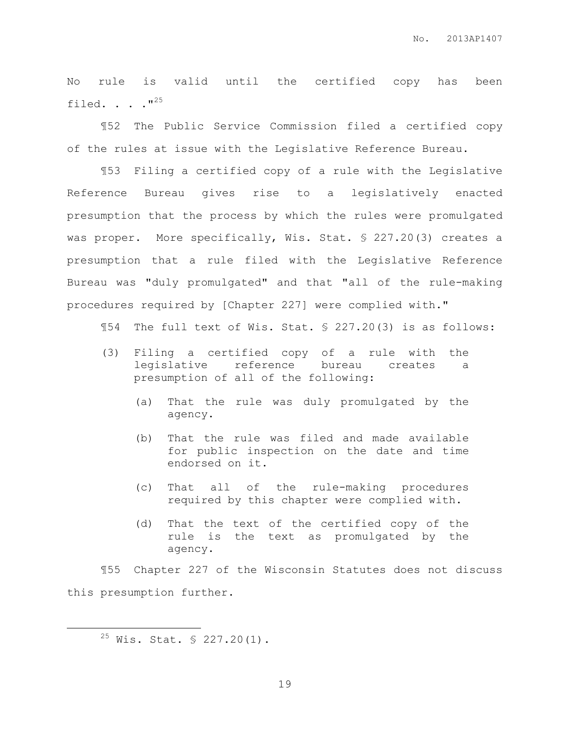No rule is valid until the certified copy has been filed. . . . "25

¶52 The Public Service Commission filed a certified copy of the rules at issue with the Legislative Reference Bureau.

¶53 Filing a certified copy of a rule with the Legislative Reference Bureau gives rise to a legislatively enacted presumption that the process by which the rules were promulgated was proper. More specifically, Wis. Stat. § 227.20(3) creates a presumption that a rule filed with the Legislative Reference Bureau was "duly promulgated" and that "all of the rule-making procedures required by [Chapter 227] were complied with."

¶54 The full text of Wis. Stat. § 227.20(3) is as follows:

- (3) Filing a certified copy of a rule with the legislative reference bureau creates a presumption of all of the following:
	- (a) That the rule was duly promulgated by the agency.
	- (b) That the rule was filed and made available for public inspection on the date and time endorsed on it.
	- (c) That all of the rule-making procedures required by this chapter were complied with.
	- (d) That the text of the certified copy of the rule is the text as promulgated by the agency.

¶55 Chapter 227 of the Wisconsin Statutes does not discuss this presumption further.

 $\overline{a}$ 

 $25$  Wis. Stat. § 227.20(1).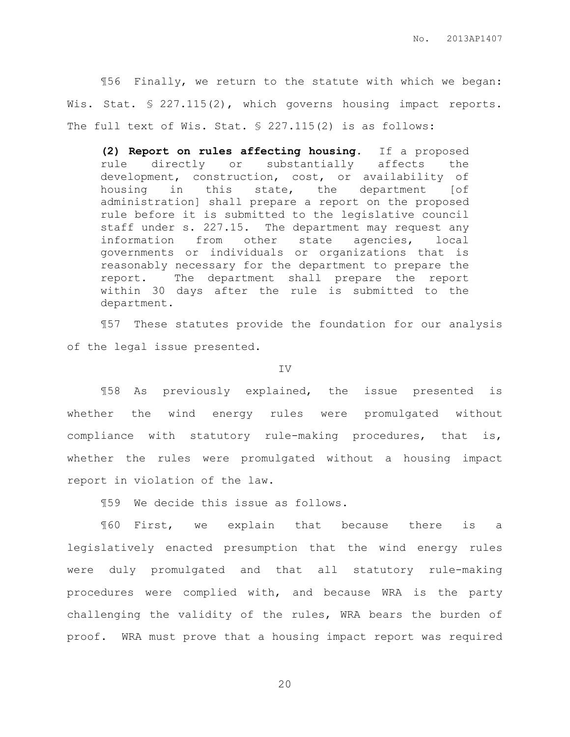¶56 Finally, we return to the statute with which we began: Wis. Stat. § 227.115(2), which governs housing impact reports. The full text of Wis. Stat. § 227.115(2) is as follows:

**(2) Report on rules affecting housing.** If a proposed rule directly or substantially affects the development, construction, cost, or availability of housing in this state, the department [of administration] shall prepare a report on the proposed rule before it is submitted to the legislative council staff under s. 227.15. The department may request any information from other state agencies, local governments or individuals or organizations that is reasonably necessary for the department to prepare the report. The department shall prepare the report within 30 days after the rule is submitted to the department.

¶57 These statutes provide the foundation for our analysis of the legal issue presented.

#### IV

¶58 As previously explained, the issue presented is whether the wind energy rules were promulgated without compliance with statutory rule-making procedures, that is, whether the rules were promulgated without a housing impact report in violation of the law.

¶59 We decide this issue as follows.

¶60 First, we explain that because there is a legislatively enacted presumption that the wind energy rules were duly promulgated and that all statutory rule-making procedures were complied with, and because WRA is the party challenging the validity of the rules, WRA bears the burden of proof. WRA must prove that a housing impact report was required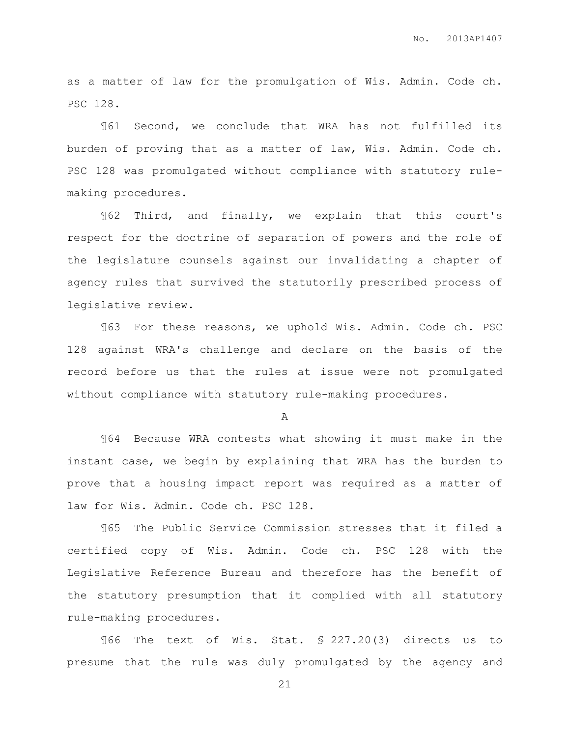as a matter of law for the promulgation of Wis. Admin. Code ch. PSC 128.

¶61 Second, we conclude that WRA has not fulfilled its burden of proving that as a matter of law, Wis. Admin. Code ch. PSC 128 was promulgated without compliance with statutory rulemaking procedures.

¶62 Third, and finally, we explain that this court's respect for the doctrine of separation of powers and the role of the legislature counsels against our invalidating a chapter of agency rules that survived the statutorily prescribed process of legislative review.

¶63 For these reasons, we uphold Wis. Admin. Code ch. PSC 128 against WRA's challenge and declare on the basis of the record before us that the rules at issue were not promulgated without compliance with statutory rule-making procedures.

A

¶64 Because WRA contests what showing it must make in the instant case, we begin by explaining that WRA has the burden to prove that a housing impact report was required as a matter of law for Wis. Admin. Code ch. PSC 128.

¶65 The Public Service Commission stresses that it filed a certified copy of Wis. Admin. Code ch. PSC 128 with the Legislative Reference Bureau and therefore has the benefit of the statutory presumption that it complied with all statutory rule-making procedures.

¶66 The text of Wis. Stat. § 227.20(3) directs us to presume that the rule was duly promulgated by the agency and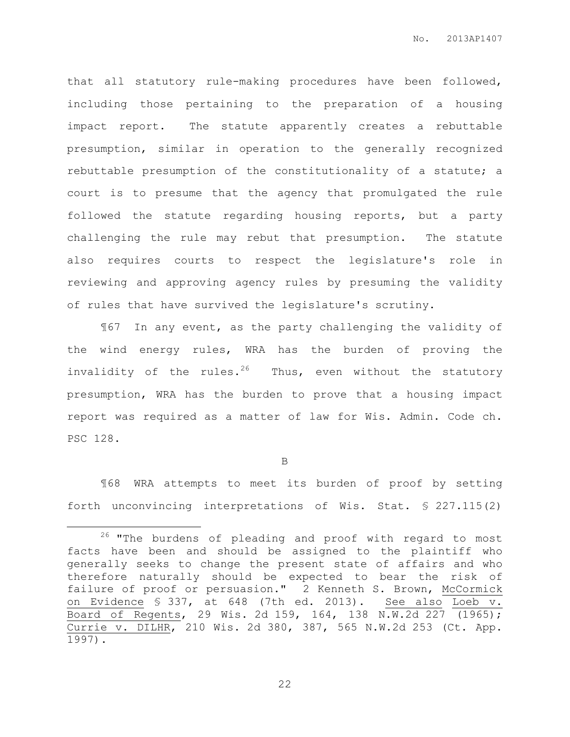that all statutory rule-making procedures have been followed, including those pertaining to the preparation of a housing impact report. The statute apparently creates a rebuttable presumption, similar in operation to the generally recognized rebuttable presumption of the constitutionality of a statute; a court is to presume that the agency that promulgated the rule followed the statute regarding housing reports, but a party challenging the rule may rebut that presumption. The statute also requires courts to respect the legislature's role in reviewing and approving agency rules by presuming the validity of rules that have survived the legislature's scrutiny.

¶67 In any event, as the party challenging the validity of the wind energy rules, WRA has the burden of proving the invalidity of the rules.<sup>26</sup> Thus, even without the statutory presumption, WRA has the burden to prove that a housing impact report was required as a matter of law for Wis. Admin. Code ch. PSC 128.

B

¶68 WRA attempts to meet its burden of proof by setting forth unconvincing interpretations of Wis. Stat. § 227.115(2)

 $\overline{a}$ 

<sup>&</sup>lt;sup>26</sup> "The burdens of pleading and proof with regard to most facts have been and should be assigned to the plaintiff who generally seeks to change the present state of affairs and who therefore naturally should be expected to bear the risk of failure of proof or persuasion." 2 Kenneth S. Brown, McCormick on Evidence § 337, at 648 (7th ed. 2013). See also Loeb v. Board of Regents, 29 Wis. 2d 159, 164, 138 N.W.2d 227 (1965); Currie v. DILHR, 210 Wis. 2d 380, 387, 565 N.W.2d 253 (Ct. App. 1997).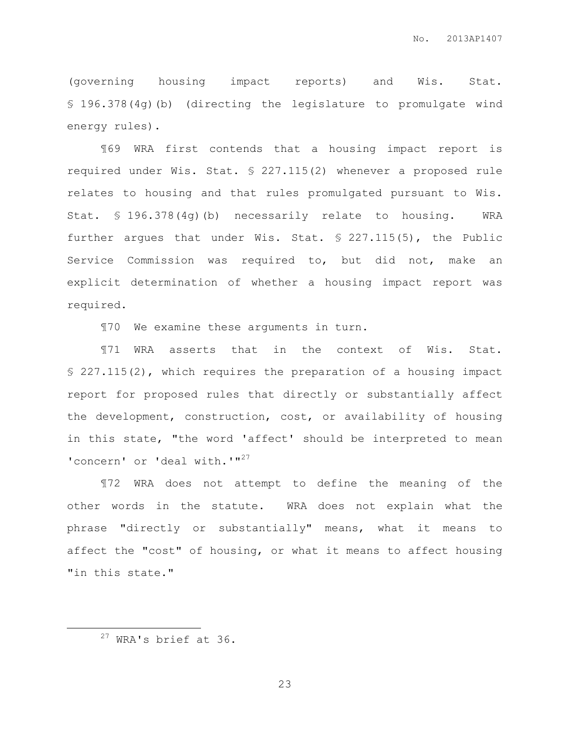(governing housing impact reports) and Wis. Stat. § 196.378(4g)(b) (directing the legislature to promulgate wind energy rules).

¶69 WRA first contends that a housing impact report is required under Wis. Stat. § 227.115(2) whenever a proposed rule relates to housing and that rules promulgated pursuant to Wis. Stat. § 196.378(4g)(b) necessarily relate to housing. WRA further argues that under Wis. Stat. § 227.115(5), the Public Service Commission was required to, but did not, make an explicit determination of whether a housing impact report was required.

¶70 We examine these arguments in turn.

¶71 WRA asserts that in the context of Wis. Stat. § 227.115(2), which requires the preparation of a housing impact report for proposed rules that directly or substantially affect the development, construction, cost, or availability of housing in this state, "the word 'affect' should be interpreted to mean 'concern' or 'deal with.'"<sup>27</sup>

¶72 WRA does not attempt to define the meaning of the other words in the statute. WRA does not explain what the phrase "directly or substantially" means, what it means to affect the "cost" of housing, or what it means to affect housing "in this state."

 $\overline{a}$ 

<sup>&</sup>lt;sup>27</sup> WRA's brief at 36.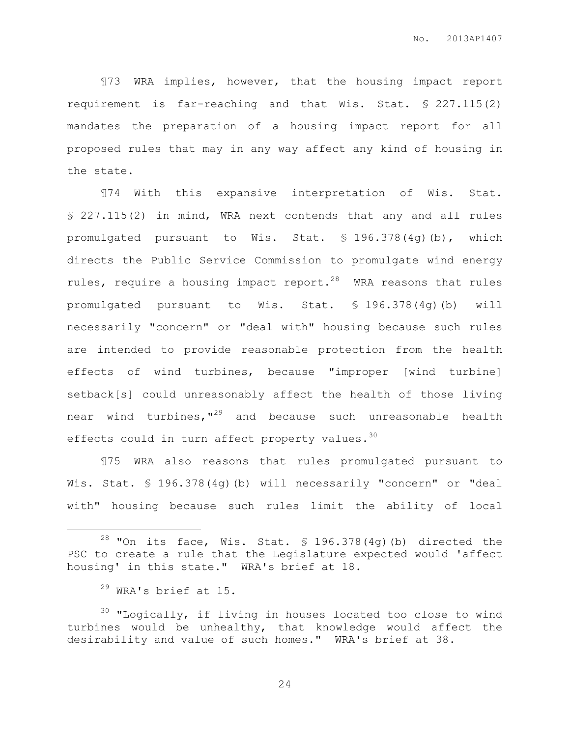¶73 WRA implies, however, that the housing impact report requirement is far-reaching and that Wis. Stat. § 227.115(2) mandates the preparation of a housing impact report for all proposed rules that may in any way affect any kind of housing in the state.

¶74 With this expansive interpretation of Wis. Stat. § 227.115(2) in mind, WRA next contends that any and all rules promulgated pursuant to Wis. Stat. § 196.378(4g)(b), which directs the Public Service Commission to promulgate wind energy rules, require a housing impact report.<sup>28</sup> WRA reasons that rules promulgated pursuant to Wis. Stat. § 196.378(4g)(b) will necessarily "concern" or "deal with" housing because such rules are intended to provide reasonable protection from the health effects of wind turbines, because "improper [wind turbine] setback[s] could unreasonably affect the health of those living near wind turbines, "<sup>29</sup> and because such unreasonable health effects could in turn affect property values.  $30$ 

¶75 WRA also reasons that rules promulgated pursuant to Wis. Stat. § 196.378(4g)(b) will necessarily "concern" or "deal with" housing because such rules limit the ability of local

 $\overline{a}$ 

 $28$  "On its face, Wis. Stat. § 196.378(4g)(b) directed the PSC to create a rule that the Legislature expected would 'affect housing' in this state." WRA's brief at 18.

<sup>29</sup> WRA's brief at 15.

 $30$  "Logically, if living in houses located too close to wind turbines would be unhealthy, that knowledge would affect the desirability and value of such homes." WRA's brief at 38.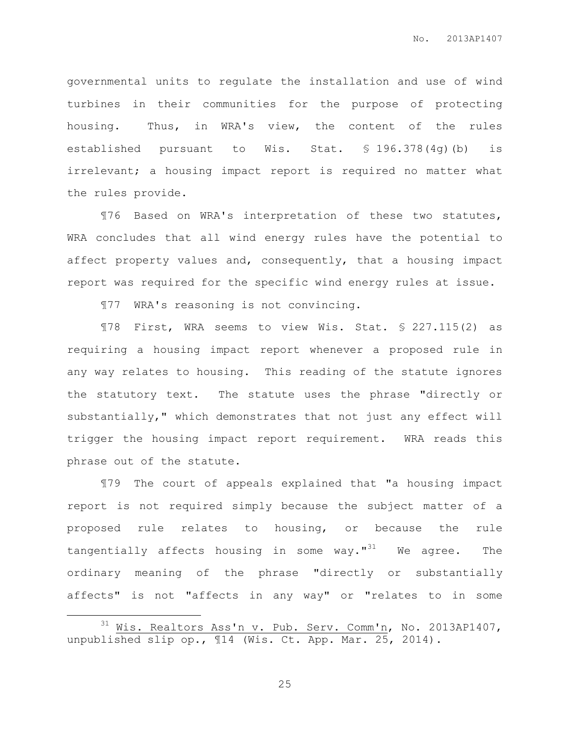governmental units to regulate the installation and use of wind turbines in their communities for the purpose of protecting housing. Thus, in WRA's view, the content of the rules established pursuant to Wis. Stat. § 196.378(4g)(b) is irrelevant; a housing impact report is required no matter what the rules provide.

¶76 Based on WRA's interpretation of these two statutes, WRA concludes that all wind energy rules have the potential to affect property values and, consequently, that a housing impact report was required for the specific wind energy rules at issue.

¶77 WRA's reasoning is not convincing.

¶78 First, WRA seems to view Wis. Stat. § 227.115(2) as requiring a housing impact report whenever a proposed rule in any way relates to housing. This reading of the statute ignores the statutory text. The statute uses the phrase "directly or substantially," which demonstrates that not just any effect will trigger the housing impact report requirement. WRA reads this phrase out of the statute.

¶79 The court of appeals explained that "a housing impact report is not required simply because the subject matter of a proposed rule relates to housing, or because the rule tangentially affects housing in some way." $31$  We agree. The ordinary meaning of the phrase "directly or substantially affects" is not "affects in any way" or "relates to in some

 $\overline{a}$ 

Wis. Realtors Ass'n v. Pub. Serv. Comm'n, No. 2013AP1407, unpublished slip op.,  $\mathbb{I}14$  (Wis. Ct. App. Mar. 25, 2014).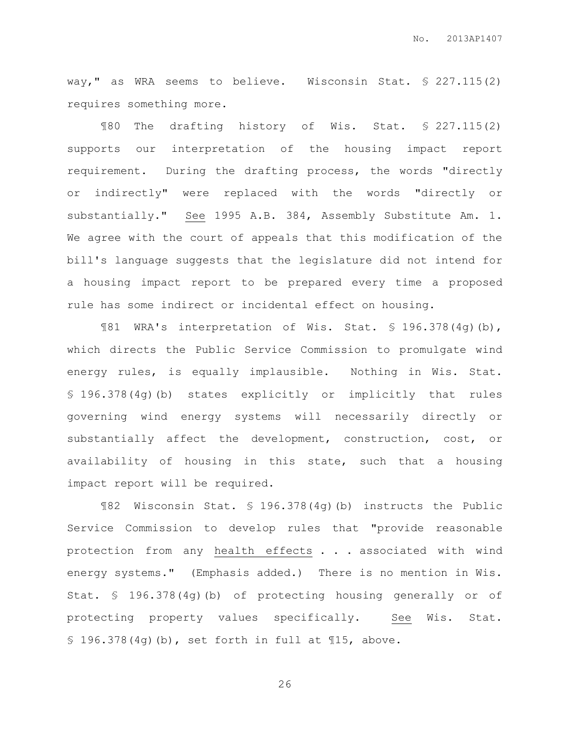way," as WRA seems to believe. Wisconsin Stat. § 227.115(2) requires something more.

¶80 The drafting history of Wis. Stat. § 227.115(2) supports our interpretation of the housing impact report requirement. During the drafting process, the words "directly or indirectly" were replaced with the words "directly or substantially." See 1995 A.B. 384, Assembly Substitute Am. 1. We agree with the court of appeals that this modification of the bill's language suggests that the legislature did not intend for a housing impact report to be prepared every time a proposed rule has some indirect or incidental effect on housing.

¶81 WRA's interpretation of Wis. Stat. § 196.378(4g)(b), which directs the Public Service Commission to promulgate wind energy rules, is equally implausible. Nothing in Wis. Stat. § 196.378(4g)(b) states explicitly or implicitly that rules governing wind energy systems will necessarily directly or substantially affect the development, construction, cost, or availability of housing in this state, such that a housing impact report will be required.

¶82 Wisconsin Stat. § 196.378(4g)(b) instructs the Public Service Commission to develop rules that "provide reasonable protection from any health effects . . . associated with wind energy systems." (Emphasis added.) There is no mention in Wis. Stat. § 196.378(4g)(b) of protecting housing generally or of protecting property values specifically. See Wis. Stat. § 196.378(4g)(b), set forth in full at ¶15, above.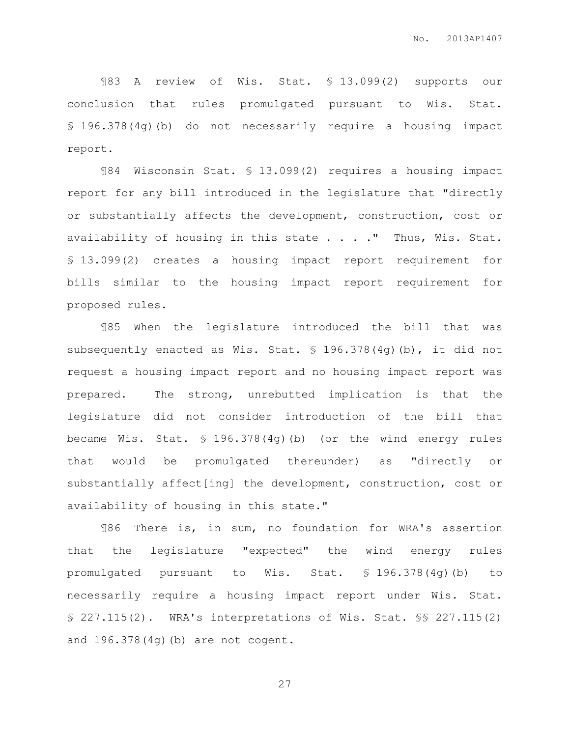¶83 A review of Wis. Stat. § 13.099(2) supports our conclusion that rules promulgated pursuant to Wis. Stat. § 196.378(4g)(b) do not necessarily require a housing impact report.

¶84 Wisconsin Stat. § 13.099(2) requires a housing impact report for any bill introduced in the legislature that "directly or substantially affects the development, construction, cost or availability of housing in this state . . . . " Thus, Wis. Stat. § 13.099(2) creates a housing impact report requirement for bills similar to the housing impact report requirement for proposed rules.

¶85 When the legislature introduced the bill that was subsequently enacted as Wis. Stat. § 196.378(4g)(b), it did not request a housing impact report and no housing impact report was prepared. The strong, unrebutted implication is that the legislature did not consider introduction of the bill that became Wis. Stat. § 196.378(4g)(b) (or the wind energy rules that would be promulgated thereunder) as "directly or substantially affect[ing] the development, construction, cost or availability of housing in this state."

¶86 There is, in sum, no foundation for WRA's assertion that the legislature "expected" the wind energy rules promulgated pursuant to Wis. Stat. § 196.378(4g)(b) to necessarily require a housing impact report under Wis. Stat. § 227.115(2). WRA's interpretations of Wis. Stat. §§ 227.115(2) and 196.378(4g)(b) are not cogent.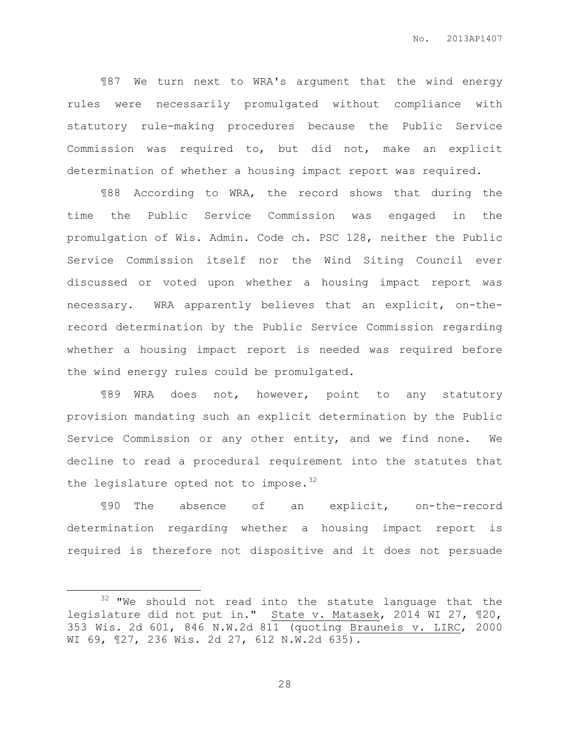¶87 We turn next to WRA's argument that the wind energy rules were necessarily promulgated without compliance with statutory rule-making procedures because the Public Service Commission was required to, but did not, make an explicit determination of whether a housing impact report was required.

¶88 According to WRA, the record shows that during the time the Public Service Commission was engaged in the promulgation of Wis. Admin. Code ch. PSC 128, neither the Public Service Commission itself nor the Wind Siting Council ever discussed or voted upon whether a housing impact report was necessary. WRA apparently believes that an explicit, on-therecord determination by the Public Service Commission regarding whether a housing impact report is needed was required before the wind energy rules could be promulgated.

¶89 WRA does not, however, point to any statutory provision mandating such an explicit determination by the Public Service Commission or any other entity, and we find none. We decline to read a procedural requirement into the statutes that the legislature opted not to impose.  $32$ 

¶90 The absence of an explicit, on-the-record determination regarding whether a housing impact report is required is therefore not dispositive and it does not persuade

 $\overline{a}$ 

<sup>&</sup>lt;sup>32</sup> "We should not read into the statute language that the legislature did not put in." State v. Matasek, 2014 WI 27, ¶20, 353 Wis. 2d 601, 846 N.W.2d 811 (quoting Brauneis v. LIRC, 2000 WI 69, ¶27, 236 Wis. 2d 27, 612 N.W.2d 635).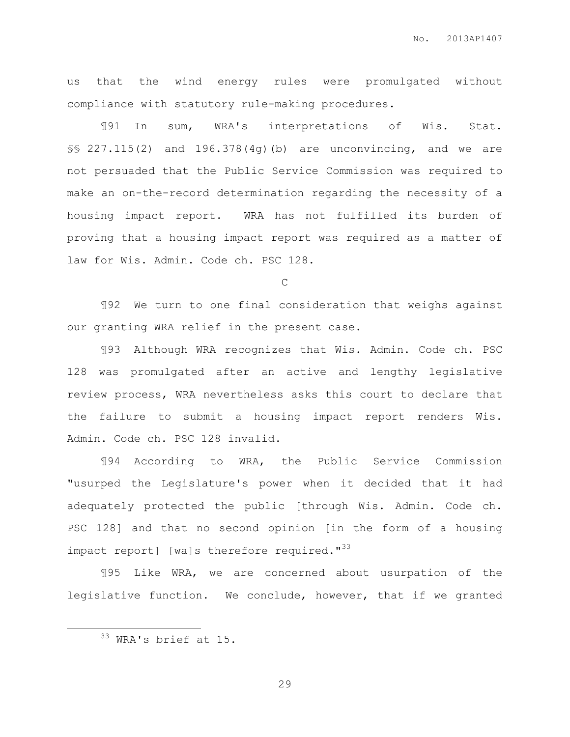us that the wind energy rules were promulgated without compliance with statutory rule-making procedures.

¶91 In sum, WRA's interpretations of Wis. Stat. §§ 227.115(2) and 196.378(4g)(b) are unconvincing, and we are not persuaded that the Public Service Commission was required to make an on-the-record determination regarding the necessity of a housing impact report. WRA has not fulfilled its burden of proving that a housing impact report was required as a matter of law for Wis. Admin. Code ch. PSC 128.

C

¶92 We turn to one final consideration that weighs against our granting WRA relief in the present case.

¶93 Although WRA recognizes that Wis. Admin. Code ch. PSC 128 was promulgated after an active and lengthy legislative review process, WRA nevertheless asks this court to declare that the failure to submit a housing impact report renders Wis. Admin. Code ch. PSC 128 invalid.

¶94 According to WRA, the Public Service Commission "usurped the Legislature's power when it decided that it had adequately protected the public [through Wis. Admin. Code ch. PSC 128] and that no second opinion [in the form of a housing impact report] [wa]s therefore required."<sup>33</sup>

¶95 Like WRA, we are concerned about usurpation of the legislative function. We conclude, however, that if we granted

 $\overline{a}$ 

<sup>33</sup> WRA's brief at 15.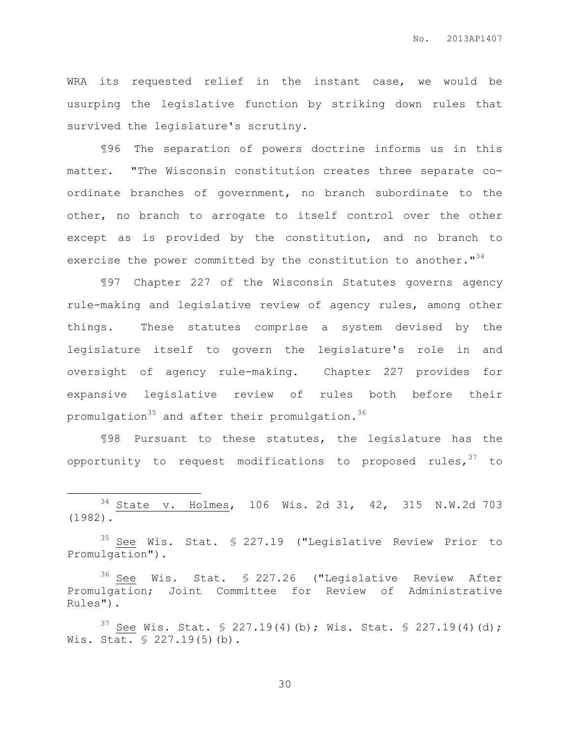WRA its requested relief in the instant case, we would be usurping the legislative function by striking down rules that survived the legislature's scrutiny.

¶96 The separation of powers doctrine informs us in this matter. "The Wisconsin constitution creates three separate coordinate branches of government, no branch subordinate to the other, no branch to arrogate to itself control over the other except as is provided by the constitution, and no branch to exercise the power committed by the constitution to another.  $1^{34}$ 

¶97 Chapter 227 of the Wisconsin Statutes governs agency rule-making and legislative review of agency rules, among other things. These statutes comprise a system devised by the legislature itself to govern the legislature's role in and oversight of agency rule-making. Chapter 227 provides for expansive legislative review of rules both before their promulgation $35$  and after their promulgation.  $36$ 

¶98 Pursuant to these statutes, the legislature has the opportunity to request modifications to proposed rules,  $37$  to

 $\overline{a}$ 

<sup>34</sup> State v. Holmes, 106 Wis. 2d 31, 42, 315 N.W.2d 703 (1982).

<sup>35</sup> See Wis. Stat. § 227.19 ("Legislative Review Prior to Promulgation").

<sup>36</sup> See Wis. Stat. § 227.26 ("Legislative Review After Promulgation; Joint Committee for Review of Administrative Rules").

<sup>&</sup>lt;sup>37</sup> See Wis. Stat. § 227.19(4)(b); Wis. Stat. § 227.19(4)(d); Wis. Stat. § 227.19(5)(b).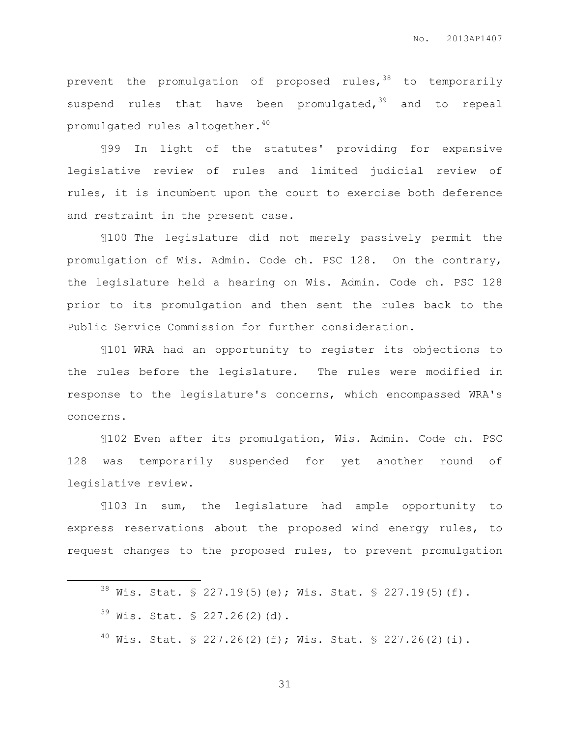prevent the promulgation of proposed rules,  $38$  to temporarily suspend rules that have been promulgated,  $39$  and to repeal promulgated rules altogether.<sup>40</sup>

¶99 In light of the statutes' providing for expansive legislative review of rules and limited judicial review of rules, it is incumbent upon the court to exercise both deference and restraint in the present case.

¶100 The legislature did not merely passively permit the promulgation of Wis. Admin. Code ch. PSC 128. On the contrary, the legislature held a hearing on Wis. Admin. Code ch. PSC 128 prior to its promulgation and then sent the rules back to the Public Service Commission for further consideration.

¶101 WRA had an opportunity to register its objections to the rules before the legislature. The rules were modified in response to the legislature's concerns, which encompassed WRA's concerns.

¶102 Even after its promulgation, Wis. Admin. Code ch. PSC 128 was temporarily suspended for yet another round of legislative review.

¶103 In sum, the legislature had ample opportunity to express reservations about the proposed wind energy rules, to request changes to the proposed rules, to prevent promulgation

 $39$  Wis. Stat. § 227.26(2)(d).

 $\overline{a}$ 

<sup>40</sup> Wis. Stat. § 227.26(2)(f); Wis. Stat. § 227.26(2)(i).

 $38$  Wis. Stat. § 227.19(5)(e); Wis. Stat. § 227.19(5)(f).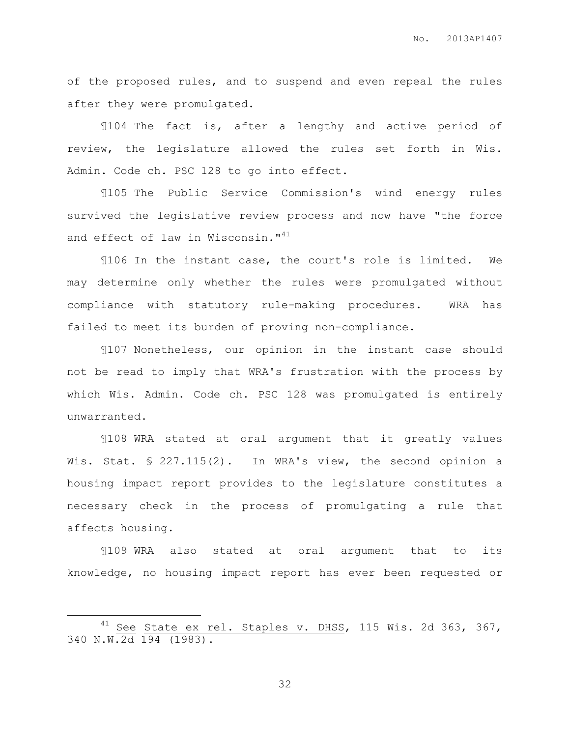of the proposed rules, and to suspend and even repeal the rules after they were promulgated.

¶104 The fact is, after a lengthy and active period of review, the legislature allowed the rules set forth in Wis. Admin. Code ch. PSC 128 to go into effect.

¶105 The Public Service Commission's wind energy rules survived the legislative review process and now have "the force and effect of law in Wisconsin."<sup>41</sup>

¶106 In the instant case, the court's role is limited. We may determine only whether the rules were promulgated without compliance with statutory rule-making procedures. WRA has failed to meet its burden of proving non-compliance.

¶107 Nonetheless, our opinion in the instant case should not be read to imply that WRA's frustration with the process by which Wis. Admin. Code ch. PSC 128 was promulgated is entirely unwarranted.

¶108 WRA stated at oral argument that it greatly values Wis. Stat. § 227.115(2). In WRA's view, the second opinion a housing impact report provides to the legislature constitutes a necessary check in the process of promulgating a rule that affects housing.

¶109 WRA also stated at oral argument that to its knowledge, no housing impact report has ever been requested or

 $\overline{a}$ 

See State ex rel. Staples v. DHSS, 115 Wis. 2d 363, 367, 340 N.W.2d 194 (1983).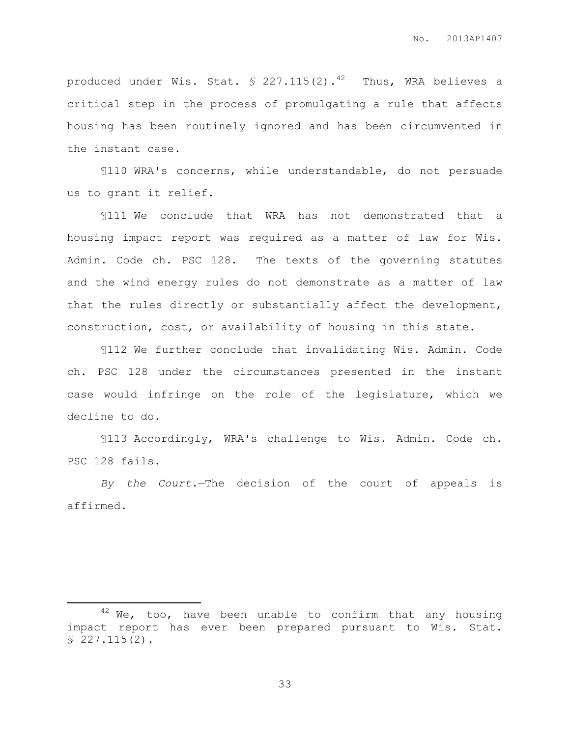produced under Wis. Stat.  $\frac{1}{2}$  227.115(2).<sup>42</sup> Thus, WRA believes a critical step in the process of promulgating a rule that affects housing has been routinely ignored and has been circumvented in the instant case.

¶110 WRA's concerns, while understandable, do not persuade us to grant it relief.

¶111 We conclude that WRA has not demonstrated that a housing impact report was required as a matter of law for Wis. Admin. Code ch. PSC 128. The texts of the governing statutes and the wind energy rules do not demonstrate as a matter of law that the rules directly or substantially affect the development, construction, cost, or availability of housing in this state.

¶112 We further conclude that invalidating Wis. Admin. Code ch. PSC 128 under the circumstances presented in the instant case would infringe on the role of the legislature, which we decline to do.

¶113 Accordingly, WRA's challenge to Wis. Admin. Code ch. PSC 128 fails.

*By the Court.*—The decision of the court of appeals is affirmed.

 $\overline{a}$ 

 $42$  We, too, have been unable to confirm that any housing impact report has ever been prepared pursuant to Wis. Stat. § 227.115(2).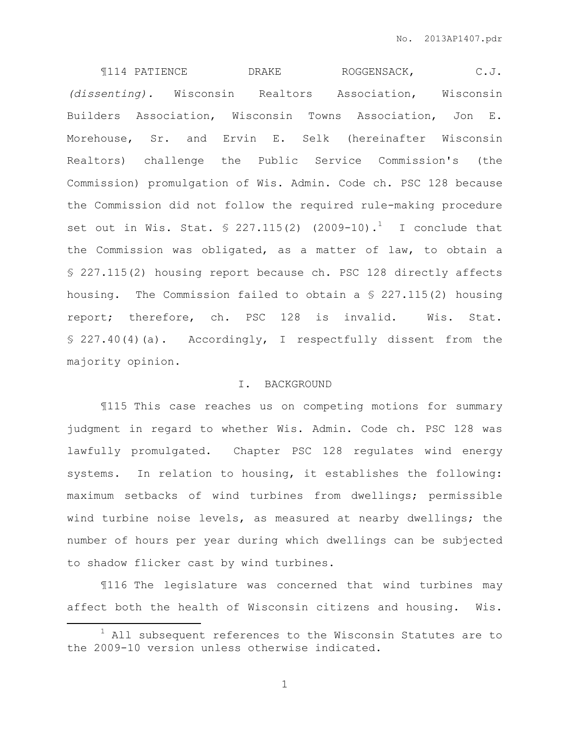TI14 PATIENCE DRAKE ROGGENSACK, C.J. *(dissenting).* Wisconsin Realtors Association, Wisconsin Builders Association, Wisconsin Towns Association, Jon E. Morehouse, Sr. and Ervin E. Selk (hereinafter Wisconsin Realtors) challenge the Public Service Commission's (the Commission) promulgation of Wis. Admin. Code ch. PSC 128 because the Commission did not follow the required rule-making procedure set out in Wis. Stat.  $\frac{1}{2}$  227.115(2) (2009-10).<sup>1</sup> I conclude that the Commission was obligated, as a matter of law, to obtain a § 227.115(2) housing report because ch. PSC 128 directly affects housing. The Commission failed to obtain a § 227.115(2) housing report; therefore, ch. PSC 128 is invalid. Wis. Stat. § 227.40(4)(a). Accordingly, I respectfully dissent from the majority opinion.

## I. BACKGROUND

¶115 This case reaches us on competing motions for summary judgment in regard to whether Wis. Admin. Code ch. PSC 128 was lawfully promulgated. Chapter PSC 128 regulates wind energy systems. In relation to housing, it establishes the following: maximum setbacks of wind turbines from dwellings; permissible wind turbine noise levels, as measured at nearby dwellings; the number of hours per year during which dwellings can be subjected to shadow flicker cast by wind turbines.

¶116 The legislature was concerned that wind turbines may affect both the health of Wisconsin citizens and housing. Wis.

 $\overline{a}$ 

 $1$  All subsequent references to the Wisconsin Statutes are to the 2009-10 version unless otherwise indicated.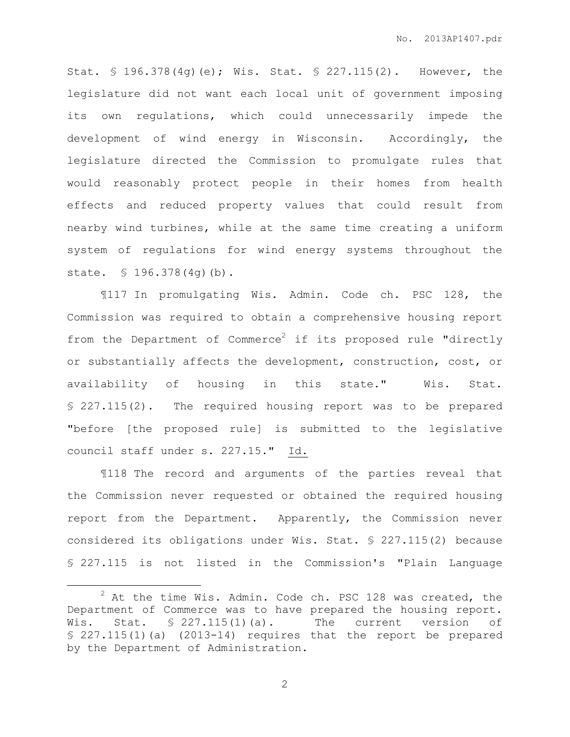Stat. § 196.378(4g)(e); Wis. Stat. § 227.115(2). However, the legislature did not want each local unit of government imposing its own regulations, which could unnecessarily impede the development of wind energy in Wisconsin. Accordingly, the legislature directed the Commission to promulgate rules that would reasonably protect people in their homes from health effects and reduced property values that could result from nearby wind turbines, while at the same time creating a uniform system of regulations for wind energy systems throughout the state. § 196.378(4g)(b).

¶117 In promulgating Wis. Admin. Code ch. PSC 128, the Commission was required to obtain a comprehensive housing report from the Department of Commerce<sup>2</sup> if its proposed rule "directly or substantially affects the development, construction, cost, or availability of housing in this state." Wis. Stat. § 227.115(2). The required housing report was to be prepared "before [the proposed rule] is submitted to the legislative council staff under s. 227.15." Id.

¶118 The record and arguments of the parties reveal that the Commission never requested or obtained the required housing report from the Department. Apparently, the Commission never considered its obligations under Wis. Stat. § 227.115(2) because § 227.115 is not listed in the Commission's "Plain Language

 $\overline{a}$ 

 $2$  At the time Wis. Admin. Code ch. PSC 128 was created, the Department of Commerce was to have prepared the housing report. Wis. Stat.  $\text{\$ } 227.115(1)$  (a). The current version of § 227.115(1)(a) (2013-14) requires that the report be prepared by the Department of Administration.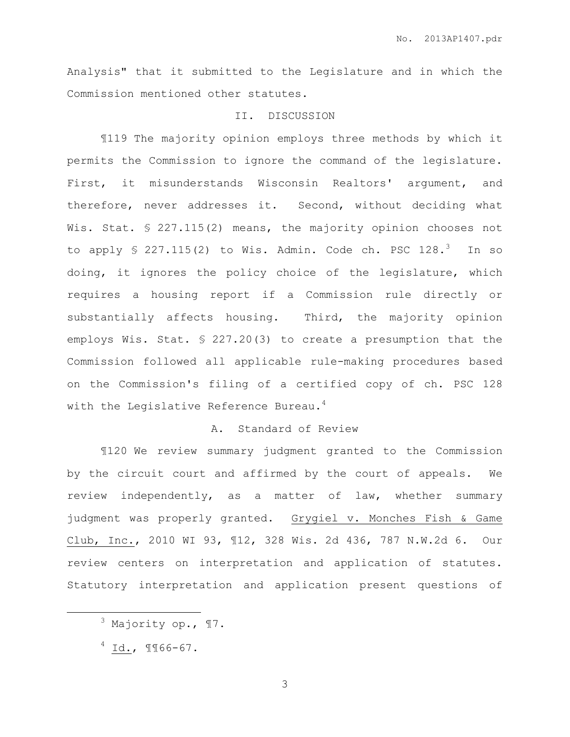Analysis" that it submitted to the Legislature and in which the Commission mentioned other statutes.

## II. DISCUSSION

¶119 The majority opinion employs three methods by which it permits the Commission to ignore the command of the legislature. First, it misunderstands Wisconsin Realtors' argument, and therefore, never addresses it. Second, without deciding what Wis. Stat. § 227.115(2) means, the majority opinion chooses not to apply  $$ 227.115(2)$  to Wis. Admin. Code ch. PSC  $128.^3$  In so doing, it ignores the policy choice of the legislature, which requires a housing report if a Commission rule directly or substantially affects housing. Third, the majority opinion employs Wis. Stat. § 227.20(3) to create a presumption that the Commission followed all applicable rule-making procedures based on the Commission's filing of a certified copy of ch. PSC 128 with the Legislative Reference Bureau. $4$ 

#### A. Standard of Review

¶120 We review summary judgment granted to the Commission by the circuit court and affirmed by the court of appeals. We review independently, as a matter of law, whether summary judgment was properly granted. Grygiel v. Monches Fish & Game Club, Inc., 2010 WI 93, ¶12, 328 Wis. 2d 436, 787 N.W.2d 6. Our review centers on interpretation and application of statutes. Statutory interpretation and application present questions of

 $\overline{a}$ 

 $3$  Majority op.,  $\P 7$ .

 $4$  Id.,  $\P$  $166-67$ .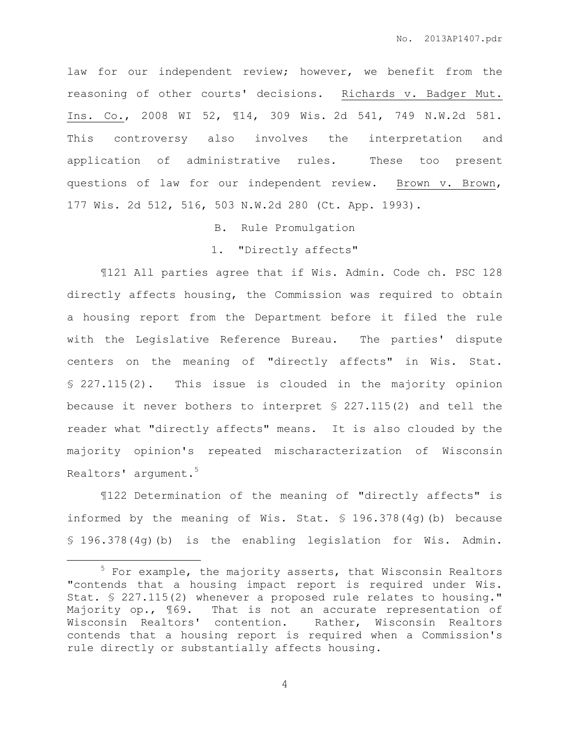law for our independent review; however, we benefit from the reasoning of other courts' decisions. Richards v. Badger Mut. Ins. Co., 2008 WI 52, ¶14, 309 Wis. 2d 541, 749 N.W.2d 581. This controversy also involves the interpretation and application of administrative rules. These too present questions of law for our independent review. Brown v. Brown, 177 Wis. 2d 512, 516, 503 N.W.2d 280 (Ct. App. 1993).

B. Rule Promulgation

# 1. "Directly affects"

¶121 All parties agree that if Wis. Admin. Code ch. PSC 128 directly affects housing, the Commission was required to obtain a housing report from the Department before it filed the rule with the Legislative Reference Bureau. The parties' dispute centers on the meaning of "directly affects" in Wis. Stat. § 227.115(2). This issue is clouded in the majority opinion because it never bothers to interpret § 227.115(2) and tell the reader what "directly affects" means. It is also clouded by the majority opinion's repeated mischaracterization of Wisconsin Realtors' argument.<sup>5</sup>

¶122 Determination of the meaning of "directly affects" is informed by the meaning of Wis. Stat. § 196.378(4g)(b) because § 196.378(4g)(b) is the enabling legislation for Wis. Admin.

 $\overline{a}$ 

 $5$  For example, the majority asserts, that Wisconsin Realtors "contends that a housing impact report is required under Wis. Stat. § 227.115(2) whenever a proposed rule relates to housing." Majority op., ¶69. That is not an accurate representation of Wisconsin Realtors' contention. Rather, Wisconsin Realtors contends that a housing report is required when a Commission's rule directly or substantially affects housing.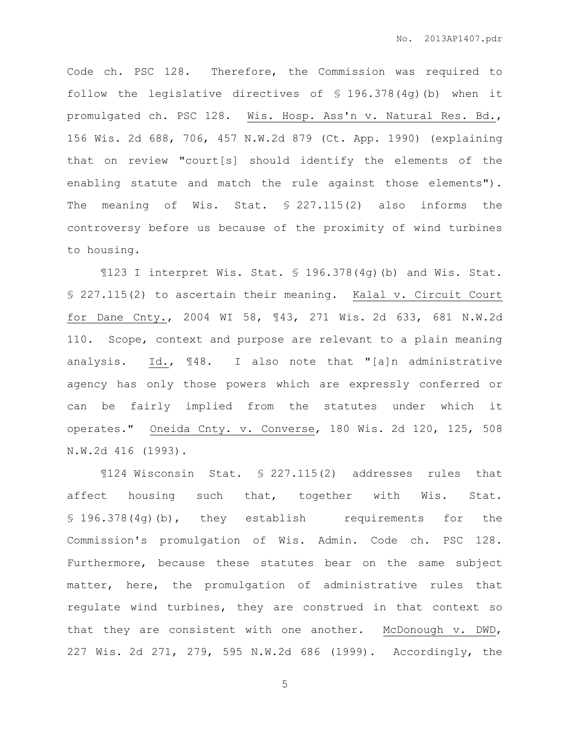Code ch. PSC 128. Therefore, the Commission was required to follow the legislative directives of § 196.378(4g)(b) when it promulgated ch. PSC 128. Wis. Hosp. Ass'n v. Natural Res. Bd., 156 Wis. 2d 688, 706, 457 N.W.2d 879 (Ct. App. 1990) (explaining that on review "court[s] should identify the elements of the enabling statute and match the rule against those elements"). The meaning of Wis. Stat. § 227.115(2) also informs the controversy before us because of the proximity of wind turbines to housing.

¶123 I interpret Wis. Stat. § 196.378(4g)(b) and Wis. Stat. § 227.115(2) to ascertain their meaning. Kalal v. Circuit Court for Dane Cnty., 2004 WI 58, ¶43, 271 Wis. 2d 633, 681 N.W.2d 110. Scope, context and purpose are relevant to a plain meaning analysis. Id., ¶48. I also note that "[a]n administrative agency has only those powers which are expressly conferred or can be fairly implied from the statutes under which it operates." Oneida Cnty. v. Converse, 180 Wis. 2d 120, 125, 508 N.W.2d 416 (1993).

¶124 Wisconsin Stat. § 227.115(2) addresses rules that affect housing such that, together with Wis. Stat. § 196.378(4g)(b), they establish requirements for the Commission's promulgation of Wis. Admin. Code ch. PSC 128. Furthermore, because these statutes bear on the same subject matter, here, the promulgation of administrative rules that regulate wind turbines, they are construed in that context so that they are consistent with one another. McDonough v. DWD, 227 Wis. 2d 271, 279, 595 N.W.2d 686 (1999). Accordingly, the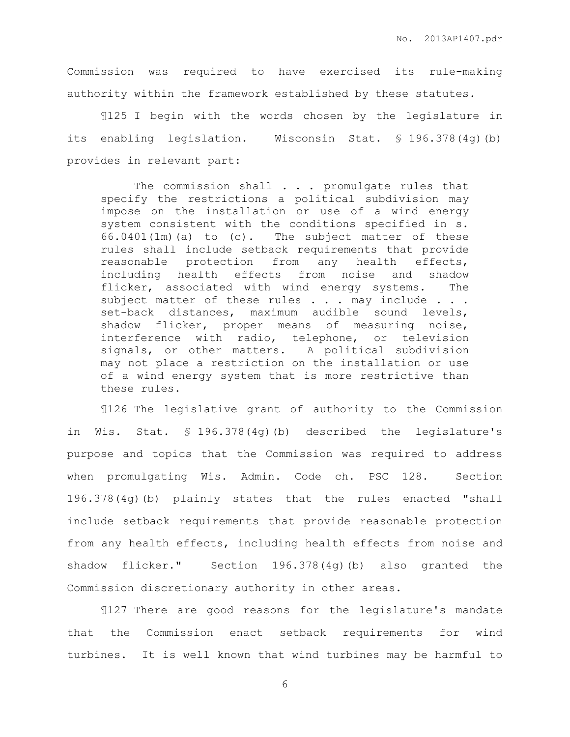Commission was required to have exercised its rule-making authority within the framework established by these statutes.

¶125 I begin with the words chosen by the legislature in its enabling legislation. Wisconsin Stat. § 196.378(4g)(b) provides in relevant part:

The commission shall . . . promulgate rules that specify the restrictions a political subdivision may impose on the installation or use of a wind energy system consistent with the conditions specified in s.  $66.0401(1m)(a)$  to  $(c)$ . The subject matter of these rules shall include setback requirements that provide reasonable protection from any health effects, including health effects from noise and shadow flicker, associated with wind energy systems. The subject matter of these rules . . . may include . . . set-back distances, maximum audible sound levels, shadow flicker, proper means of measuring noise, interference with radio, telephone, or television signals, or other matters. A political subdivision may not place a restriction on the installation or use of a wind energy system that is more restrictive than these rules.

¶126 The legislative grant of authority to the Commission in Wis. Stat. § 196.378(4g)(b) described the legislature's purpose and topics that the Commission was required to address when promulgating Wis. Admin. Code ch. PSC 128. Section 196.378(4g)(b) plainly states that the rules enacted "shall include setback requirements that provide reasonable protection from any health effects, including health effects from noise and shadow flicker." Section 196.378(4g)(b) also granted the Commission discretionary authority in other areas.

¶127 There are good reasons for the legislature's mandate that the Commission enact setback requirements for wind turbines. It is well known that wind turbines may be harmful to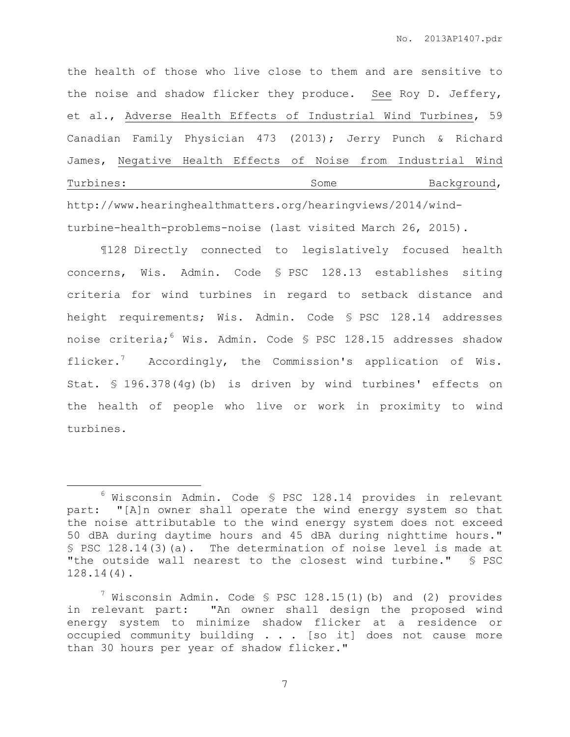the health of those who live close to them and are sensitive to the noise and shadow flicker they produce. See Roy D. Jeffery, et al., Adverse Health Effects of Industrial Wind Turbines, 59 Canadian Family Physician 473 (2013); Jerry Punch & Richard James, Negative Health Effects of Noise from Industrial Wind Turbines: Some Background,

http://www.hearinghealthmatters.org/hearingviews/2014/windturbine-health-problems-noise (last visited March 26, 2015).

¶128 Directly connected to legislatively focused health concerns, Wis. Admin. Code § PSC 128.13 establishes siting criteria for wind turbines in regard to setback distance and height requirements; Wis. Admin. Code § PSC 128.14 addresses noise criteria;<sup>6</sup> Wis. Admin. Code § PSC 128.15 addresses shadow flicker.<sup>7</sup> Accordingly, the Commission's application of Wis. Stat. § 196.378(4g)(b) is driven by wind turbines' effects on the health of people who live or work in proximity to wind turbines.

 $\overline{a}$ 

<sup>6</sup> Wisconsin Admin. Code § PSC 128.14 provides in relevant part: "[A]n owner shall operate the wind energy system so that the noise attributable to the wind energy system does not exceed 50 dBA during daytime hours and 45 dBA during nighttime hours." § PSC 128.14(3)(a). The determination of noise level is made at "the outside wall nearest to the closest wind turbine." § PSC 128.14(4).

 $7$  Wisconsin Admin. Code § PSC 128.15(1)(b) and (2) provides in relevant part: "An owner shall design the proposed wind energy system to minimize shadow flicker at a residence or occupied community building . . . [so it] does not cause more than 30 hours per year of shadow flicker."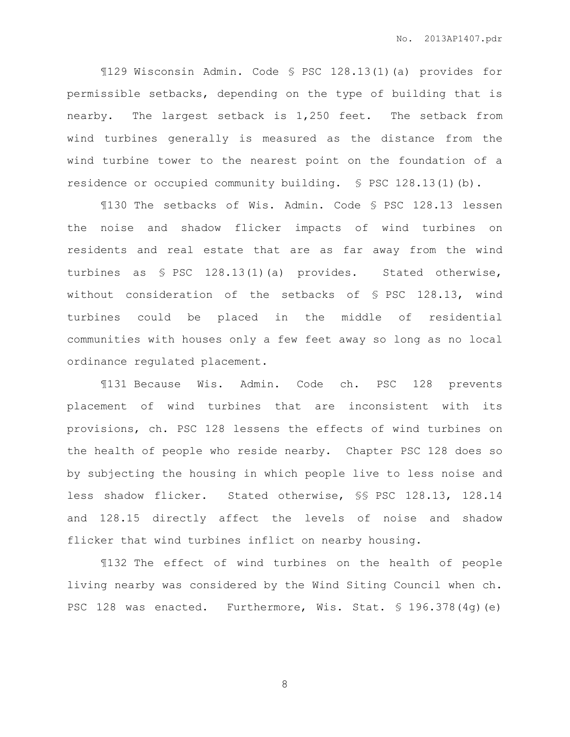¶129 Wisconsin Admin. Code § PSC 128.13(1)(a) provides for permissible setbacks, depending on the type of building that is nearby. The largest setback is 1,250 feet. The setback from wind turbines generally is measured as the distance from the wind turbine tower to the nearest point on the foundation of a residence or occupied community building. § PSC 128.13(1)(b).

¶130 The setbacks of Wis. Admin. Code § PSC 128.13 lessen the noise and shadow flicker impacts of wind turbines on residents and real estate that are as far away from the wind turbines as § PSC 128.13(1)(a) provides. Stated otherwise, without consideration of the setbacks of § PSC 128.13, wind turbines could be placed in the middle of residential communities with houses only a few feet away so long as no local ordinance regulated placement.

¶131 Because Wis. Admin. Code ch. PSC 128 prevents placement of wind turbines that are inconsistent with its provisions, ch. PSC 128 lessens the effects of wind turbines on the health of people who reside nearby. Chapter PSC 128 does so by subjecting the housing in which people live to less noise and less shadow flicker. Stated otherwise, §§ PSC 128.13, 128.14 and 128.15 directly affect the levels of noise and shadow flicker that wind turbines inflict on nearby housing.

¶132 The effect of wind turbines on the health of people living nearby was considered by the Wind Siting Council when ch. PSC 128 was enacted. Furthermore, Wis. Stat. § 196.378(4g)(e)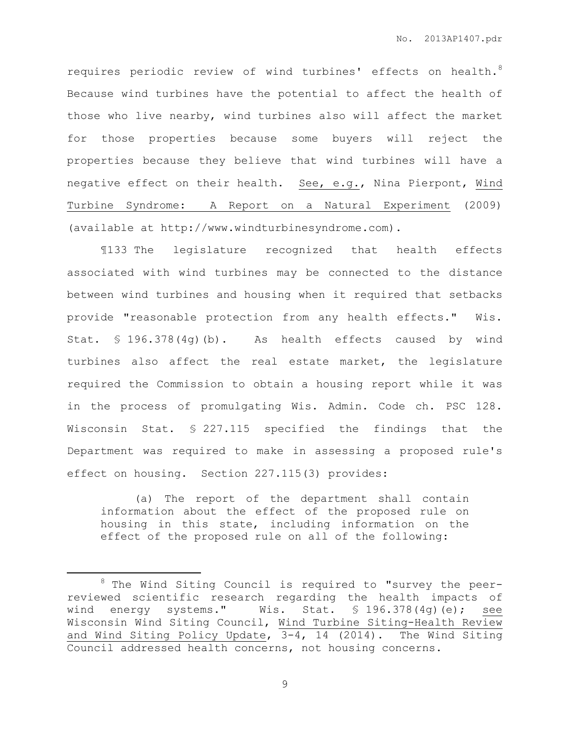requires periodic review of wind turbines' effects on health.<sup>8</sup> Because wind turbines have the potential to affect the health of those who live nearby, wind turbines also will affect the market for those properties because some buyers will reject the properties because they believe that wind turbines will have a negative effect on their health. See, e.g., Nina Pierpont, Wind Turbine Syndrome: A Report on a Natural Experiment (2009) (available at http://www.windturbinesyndrome.com).

¶133 The legislature recognized that health effects associated with wind turbines may be connected to the distance between wind turbines and housing when it required that setbacks provide "reasonable protection from any health effects." Wis. Stat. § 196.378(4g)(b). As health effects caused by wind turbines also affect the real estate market, the legislature required the Commission to obtain a housing report while it was in the process of promulgating Wis. Admin. Code ch. PSC 128. Wisconsin Stat. § 227.115 specified the findings that the Department was required to make in assessing a proposed rule's effect on housing. Section 227.115(3) provides:

(a) The report of the department shall contain information about the effect of the proposed rule on housing in this state, including information on the effect of the proposed rule on all of the following:

 $\overline{a}$ 

 $8$  The Wind Siting Council is required to "survey the peerreviewed scientific research regarding the health impacts of wind energy systems." Wis. Stat. § 196.378(4g)(e); see Wisconsin Wind Siting Council, Wind Turbine Siting-Health Review and Wind Siting Policy Update,  $3-4$ , 14 (2014). The Wind Siting Council addressed health concerns, not housing concerns.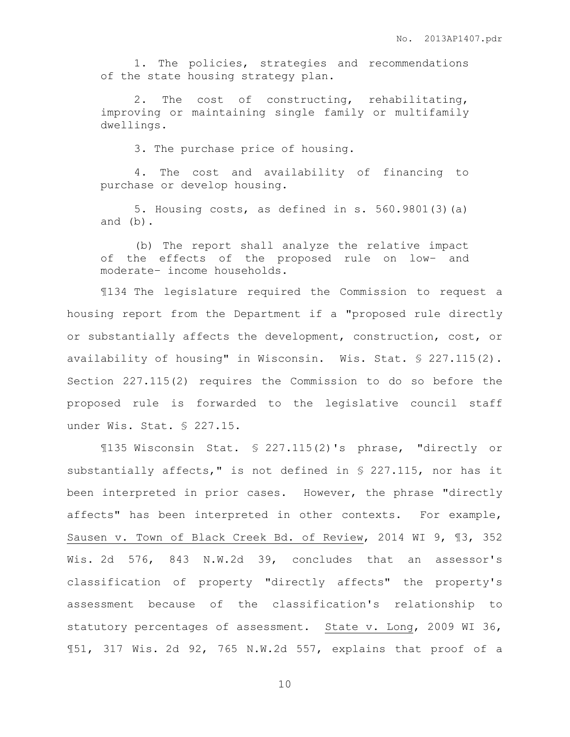1. The policies, strategies and recommendations of the state housing strategy plan.

2. The cost of constructing, rehabilitating, improving or maintaining single family or multifamily dwellings.

3. The purchase price of housing.

4. The cost and availability of financing to purchase or develop housing.

5. Housing costs, as defined in s. 560.9801(3)(a) and (b).

(b) The report shall analyze the relative impact of the effects of the proposed rule on low– and moderate– income households.

¶134 The legislature required the Commission to request a housing report from the Department if a "proposed rule directly or substantially affects the development, construction, cost, or availability of housing" in Wisconsin. Wis. Stat. § 227.115(2). Section 227.115(2) requires the Commission to do so before the proposed rule is forwarded to the legislative council staff under Wis. Stat. § 227.15.

¶135 Wisconsin Stat. § 227.115(2)'s phrase, "directly or substantially affects," is not defined in § 227.115, nor has it been interpreted in prior cases. However, the phrase "directly affects" has been interpreted in other contexts. For example, Sausen v. Town of Black Creek Bd. of Review, 2014 WI 9, ¶3, 352 Wis. 2d 576, 843 N.W.2d 39, concludes that an assessor's classification of property "directly affects" the property's assessment because of the classification's relationship to statutory percentages of assessment. State v. Long, 2009 WI 36, ¶51, 317 Wis. 2d 92, 765 N.W.2d 557, explains that proof of a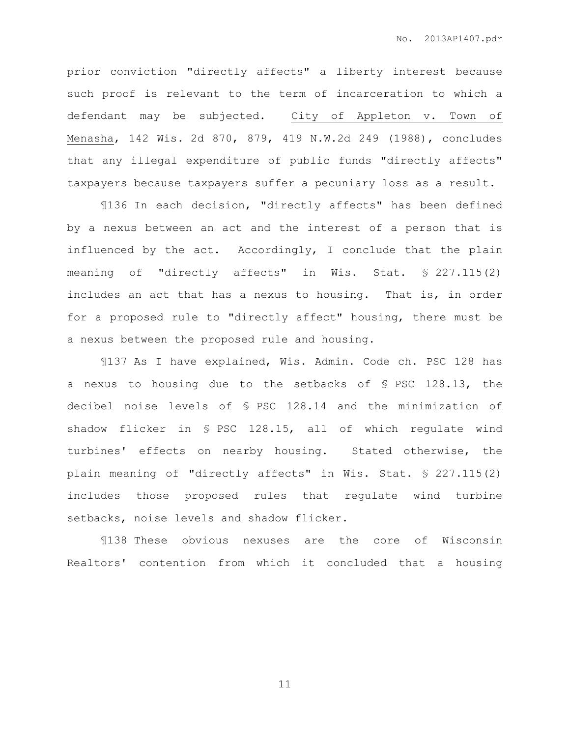prior conviction "directly affects" a liberty interest because such proof is relevant to the term of incarceration to which a defendant may be subjected. City of Appleton v. Town of Menasha, 142 Wis. 2d 870, 879, 419 N.W.2d 249 (1988), concludes that any illegal expenditure of public funds "directly affects" taxpayers because taxpayers suffer a pecuniary loss as a result.

¶136 In each decision, "directly affects" has been defined by a nexus between an act and the interest of a person that is influenced by the act. Accordingly, I conclude that the plain meaning of "directly affects" in Wis. Stat. § 227.115(2) includes an act that has a nexus to housing. That is, in order for a proposed rule to "directly affect" housing, there must be a nexus between the proposed rule and housing.

¶137 As I have explained, Wis. Admin. Code ch. PSC 128 has a nexus to housing due to the setbacks of § PSC 128.13, the decibel noise levels of § PSC 128.14 and the minimization of shadow flicker in § PSC 128.15, all of which regulate wind turbines' effects on nearby housing. Stated otherwise, the plain meaning of "directly affects" in Wis. Stat. § 227.115(2) includes those proposed rules that regulate wind turbine setbacks, noise levels and shadow flicker.

¶138 These obvious nexuses are the core of Wisconsin Realtors' contention from which it concluded that a housing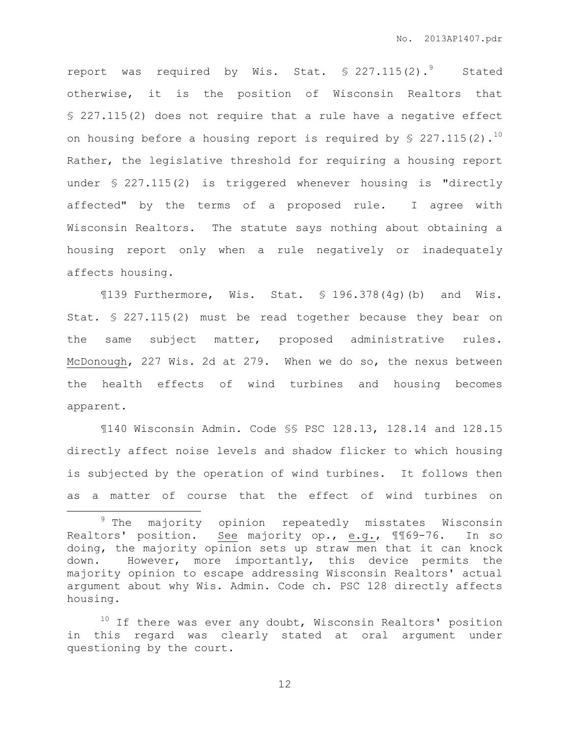report was required by Wis. Stat.  $\frac{227.115(2).^{9}}{}$  Stated otherwise, it is the position of Wisconsin Realtors that § 227.115(2) does not require that a rule have a negative effect on housing before a housing report is required by  $\S$  227.115(2).<sup>10</sup> Rather, the legislative threshold for requiring a housing report under § 227.115(2) is triggered whenever housing is "directly affected" by the terms of a proposed rule. I agree with Wisconsin Realtors. The statute says nothing about obtaining a housing report only when a rule negatively or inadequately affects housing.

¶139 Furthermore, Wis. Stat. § 196.378(4g)(b) and Wis. Stat. § 227.115(2) must be read together because they bear on the same subject matter, proposed administrative rules. McDonough, 227 Wis. 2d at 279. When we do so, the nexus between the health effects of wind turbines and housing becomes apparent.

¶140 Wisconsin Admin. Code §§ PSC 128.13, 128.14 and 128.15 directly affect noise levels and shadow flicker to which housing is subjected by the operation of wind turbines. It follows then as a matter of course that the effect of wind turbines on

 $\overline{a}$ 

<sup>&</sup>lt;sup>9</sup> The majority opinion repeatedly misstates Wisconsin Realtors' position. See majority op., e.g., ¶¶69-76. In so doing, the majority opinion sets up straw men that it can knock down. However, more importantly, this device permits the majority opinion to escape addressing Wisconsin Realtors' actual argument about why Wis. Admin. Code ch. PSC 128 directly affects housing.

 $10$  If there was ever any doubt, Wisconsin Realtors' position in this regard was clearly stated at oral argument under questioning by the court.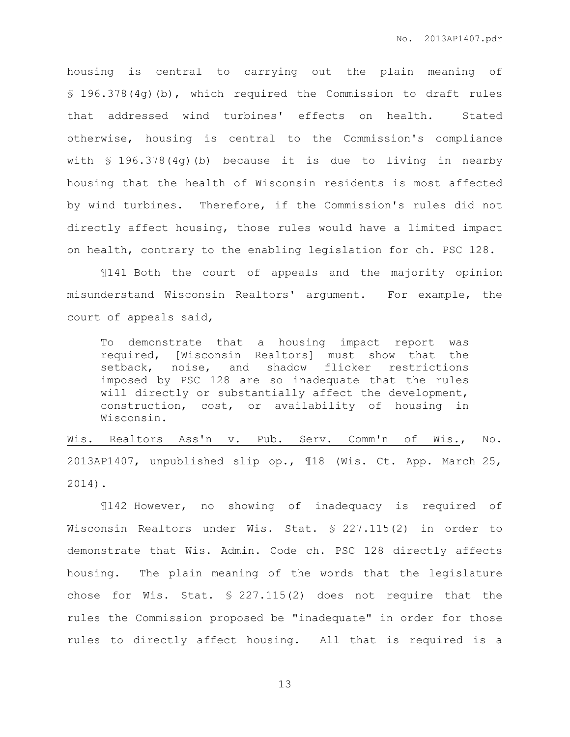housing is central to carrying out the plain meaning of § 196.378(4g)(b), which required the Commission to draft rules that addressed wind turbines' effects on health. Stated otherwise, housing is central to the Commission's compliance with § 196.378(4g)(b) because it is due to living in nearby housing that the health of Wisconsin residents is most affected by wind turbines. Therefore, if the Commission's rules did not directly affect housing, those rules would have a limited impact on health, contrary to the enabling legislation for ch. PSC 128.

¶141 Both the court of appeals and the majority opinion misunderstand Wisconsin Realtors' argument. For example, the court of appeals said,

To demonstrate that a housing impact report was required, [Wisconsin Realtors] must show that the setback, noise, and shadow flicker restrictions imposed by PSC 128 are so inadequate that the rules will directly or substantially affect the development, construction, cost, or availability of housing in Wisconsin.

Wis. Realtors Ass'n v. Pub. Serv. Comm'n of Wis., No. 2013AP1407, unpublished slip op., ¶18 (Wis. Ct. App. March 25, 2014).

¶142 However, no showing of inadequacy is required of Wisconsin Realtors under Wis. Stat. § 227.115(2) in order to demonstrate that Wis. Admin. Code ch. PSC 128 directly affects housing. The plain meaning of the words that the legislature chose for Wis. Stat. § 227.115(2) does not require that the rules the Commission proposed be "inadequate" in order for those rules to directly affect housing. All that is required is a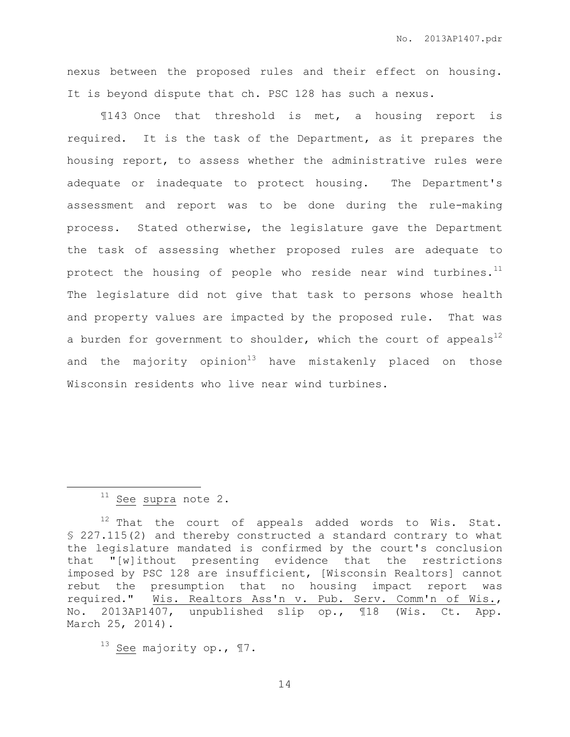nexus between the proposed rules and their effect on housing. It is beyond dispute that ch. PSC 128 has such a nexus.

¶143 Once that threshold is met, a housing report is required. It is the task of the Department, as it prepares the housing report, to assess whether the administrative rules were adequate or inadequate to protect housing. The Department's assessment and report was to be done during the rule-making process. Stated otherwise, the legislature gave the Department the task of assessing whether proposed rules are adequate to protect the housing of people who reside near wind turbines. $^{11}$ The legislature did not give that task to persons whose health and property values are impacted by the proposed rule. That was a burden for government to shoulder, which the court of appeals<sup>12</sup> and the majority opinion $^{13}$  have mistakenly placed on those Wisconsin residents who live near wind turbines.

 $\overline{a}$ 

<sup>&</sup>lt;sup>11</sup> See supra note 2.

 $12$  That the court of appeals added words to Wis. Stat. § 227.115(2) and thereby constructed a standard contrary to what the legislature mandated is confirmed by the court's conclusion that "[w]ithout presenting evidence that the restrictions imposed by PSC 128 are insufficient, [Wisconsin Realtors] cannot rebut the presumption that no housing impact report was required." Wis. Realtors Ass'n v. Pub. Serv. Comm'n of Wis., No. 2013AP1407, unpublished slip op., ¶18 (Wis. Ct. App. March 25, 2014).

 $13$  See majority op.,  $\P$ 7.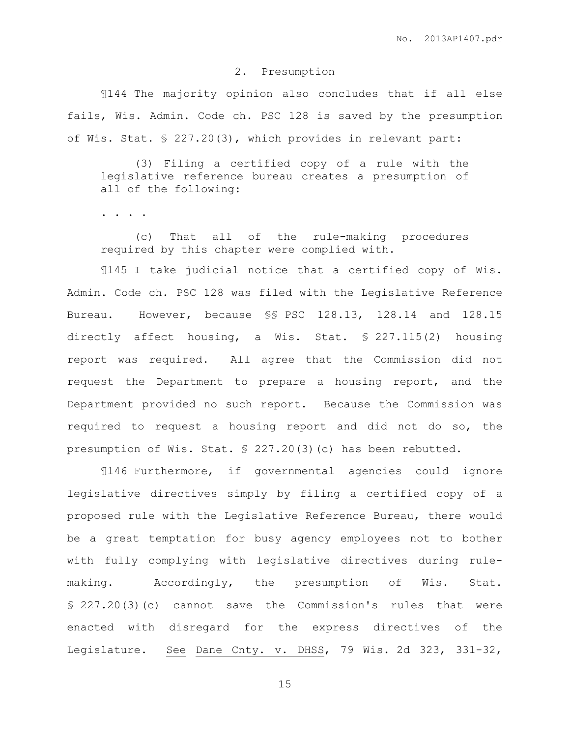#### 2. Presumption

¶144 The majority opinion also concludes that if all else fails, Wis. Admin. Code ch. PSC 128 is saved by the presumption of Wis. Stat. § 227.20(3), which provides in relevant part:

(3) Filing a certified copy of a rule with the legislative reference bureau creates a presumption of all of the following:

. . . .

(c) That all of the rule-making procedures required by this chapter were complied with.

¶145 I take judicial notice that a certified copy of Wis. Admin. Code ch. PSC 128 was filed with the Legislative Reference Bureau. However, because §§ PSC 128.13, 128.14 and 128.15 directly affect housing, a Wis. Stat. § 227.115(2) housing report was required. All agree that the Commission did not request the Department to prepare a housing report, and the Department provided no such report. Because the Commission was required to request a housing report and did not do so, the presumption of Wis. Stat. § 227.20(3)(c) has been rebutted.

¶146 Furthermore, if governmental agencies could ignore legislative directives simply by filing a certified copy of a proposed rule with the Legislative Reference Bureau, there would be a great temptation for busy agency employees not to bother with fully complying with legislative directives during rulemaking. Accordingly, the presumption of Wis. Stat. § 227.20(3)(c) cannot save the Commission's rules that were enacted with disregard for the express directives of the Legislature. See Dane Cnty. v. DHSS, 79 Wis. 2d 323, 331-32,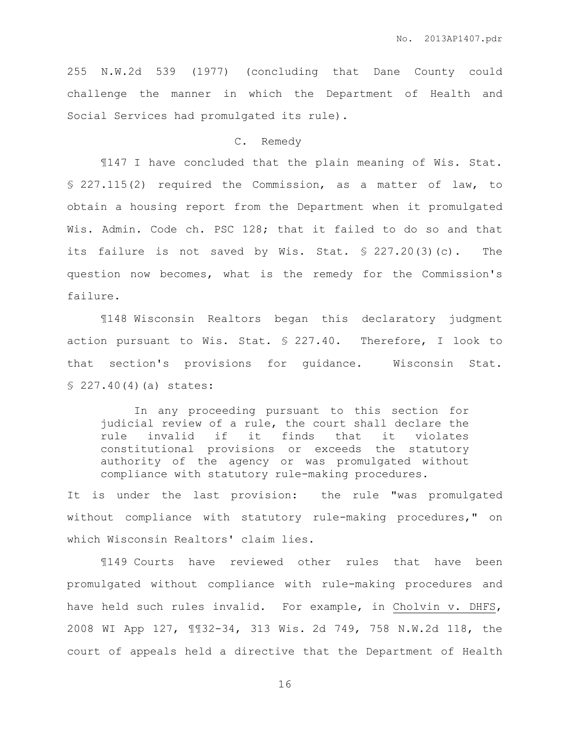255 N.W.2d 539 (1977) (concluding that Dane County could challenge the manner in which the Department of Health and Social Services had promulgated its rule).

### C. Remedy

¶147 I have concluded that the plain meaning of Wis. Stat. § 227.115(2) required the Commission, as a matter of law, to obtain a housing report from the Department when it promulgated Wis. Admin. Code ch. PSC 128; that it failed to do so and that its failure is not saved by Wis. Stat. § 227.20(3)(c). The question now becomes, what is the remedy for the Commission's failure.

¶148 Wisconsin Realtors began this declaratory judgment action pursuant to Wis. Stat. § 227.40. Therefore, I look to that section's provisions for guidance. Wisconsin Stat. § 227.40(4)(a) states:

In any proceeding pursuant to this section for judicial review of a rule, the court shall declare the rule invalid if it finds that it violates constitutional provisions or exceeds the statutory authority of the agency or was promulgated without compliance with statutory rule-making procedures.

It is under the last provision: the rule "was promulgated without compliance with statutory rule-making procedures," on which Wisconsin Realtors' claim lies.

¶149 Courts have reviewed other rules that have been promulgated without compliance with rule-making procedures and have held such rules invalid. For example, in Cholvin v. DHFS, 2008 WI App 127, ¶¶32-34, 313 Wis. 2d 749, 758 N.W.2d 118, the court of appeals held a directive that the Department of Health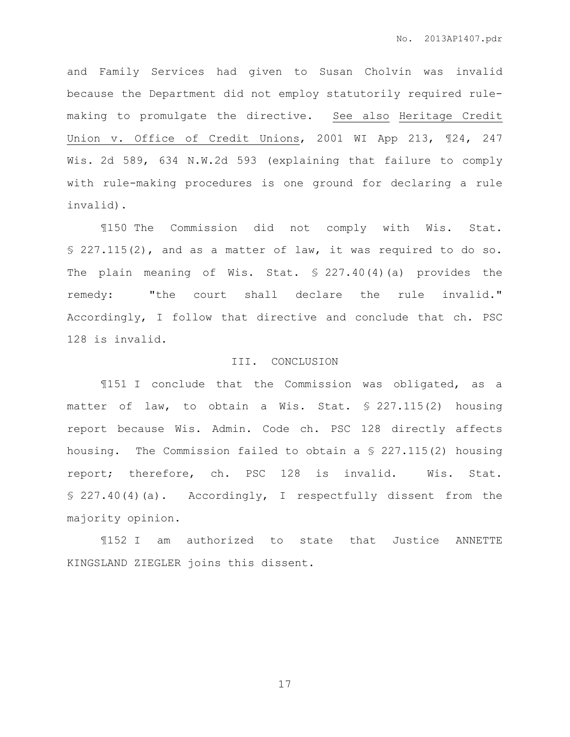and Family Services had given to Susan Cholvin was invalid because the Department did not employ statutorily required rulemaking to promulgate the directive. See also Heritage Credit Union v. Office of Credit Unions, 2001 WI App 213, ¶24, 247 Wis. 2d 589, 634 N.W.2d 593 (explaining that failure to comply with rule-making procedures is one ground for declaring a rule invalid).

¶150 The Commission did not comply with Wis. Stat. § 227.115(2), and as a matter of law, it was required to do so. The plain meaning of Wis. Stat. § 227.40(4)(a) provides the remedy: "the court shall declare the rule invalid." Accordingly, I follow that directive and conclude that ch. PSC 128 is invalid.

#### III. CONCLUSION

¶151 I conclude that the Commission was obligated, as a matter of law, to obtain a Wis. Stat. § 227.115(2) housing report because Wis. Admin. Code ch. PSC 128 directly affects housing. The Commission failed to obtain a § 227.115(2) housing report; therefore, ch. PSC 128 is invalid. Wis. Stat. § 227.40(4)(a). Accordingly, I respectfully dissent from the majority opinion.

¶152 I am authorized to state that Justice ANNETTE KINGSLAND ZIEGLER joins this dissent.